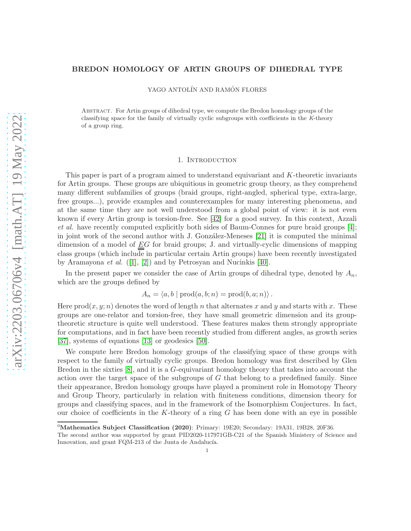# BREDON HOMOLOGY OF ARTIN GROUPS OF DIHEDRAL TYPE

YAGO ANTOLÍN AND RAMÓN FLORES

Abstract. For Artin groups of dihedral type, we compute the Bredon homology groups of the classifying space for the family of virtually cyclic subgroups with coefficients in the K-theory of a group ring.

## 1. Introduction

This paper is part of a program aimed to understand equivariant and K-theoretic invariants for Artin groups. These groups are ubiquitious in geometric group theory, as they comprehend many different subfamilies of groups (braid groups, right-angled, spherical type, extra-large, free groups...), provide examples and counterexamples for many interesting phenomena, and at the same time they are not well understood from a global point of view: it is not even known if every Artin group is torsion-free. See [\[42\]](#page-26-0) for a good survey. In this context, Azzali et al. have recently computed explicitly both sides of Baum-Connes for pure braid groups [\[4\]](#page-24-0); in joint work of the second author with J. González-Meneses [\[21\]](#page-25-0) it is computed the minimal dimension of a model of  $EG$  for braid groups; J. and virtually-cyclic dimensions of mapping class groups (which include in particular certain Artin groups) have been recently investigated by Aramayona *et al.* ([\[1\]](#page-24-1), [\[2\]](#page-24-2)) and by Petrosyan and Nucinkis [\[40\]](#page-26-1).

In the present paper we consider the case of Artin groups of dihedral type, denoted by  $A_n$ , which are the groups defined by

$$
A_n = \langle a, b \mid \text{prod}(a, b; n) = \text{prod}(b, a; n) \rangle.
$$

Here  $\text{prod}(x, y; n)$  denotes the word of length n that alternates x and y and starts with x. These groups are one-relator and torsion-free, they have small geometric dimension and its grouptheoretic structure is quite well understood. These features makes them strongly appropriate for computations, and in fact have been recently studied from different angles, as growth series [\[37\]](#page-26-2), systems of equations [\[13\]](#page-25-1) or geodesics [\[50\]](#page-26-3).

We compute here Bredon homology groups of the classifying space of these groups with respect to the family of virtually cyclic groups. Bredon homology was first described by Glen Bredon in the sixties  $[8]$ , and it is a G-equivariant homology theory that takes into account the action over the target space of the subgroups of  $G$  that belong to a predefined family. Since their appearance, Bredon homology groups have played a prominent role in Homotopy Theory and Group Theory, particularly in relation with finiteness conditions, dimension theory for groups and classifying spaces, and in the framework of the Isomorphism Conjectures. In fact, our choice of coefficients in the K-theory of a ring  $G$  has been done with an eye in possible

<sup>&</sup>lt;sup>0</sup>Mathematics Subject Classification (2020): Primary: 19E20; Secondary: 19A31, 19B28, 20F36.

The second author was supported by grant PID2020-117971GB-C21 of the Spanish Ministery of Science and Innovation, and grant FQM-213 of the Junta de Andalucía.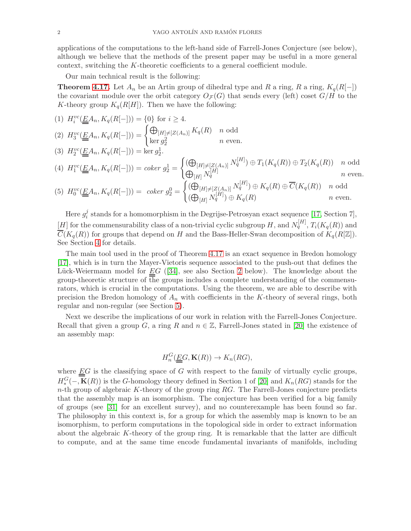applications of the computations to the left-hand side of Farrell-Jones Conjecture (see below), although we believe that the methods of the present paper may be useful in a more general context, switching the K-theoretic coefficients to a general coefficient module.

Our main technical result is the following:

**Theorem [4.17.](#page-19-0)** Let  $A_n$  be an Artin group of dihedral type and R a ring, R a ring,  $K_q(R[-])$ the covariant module over the orbit category  $O_{\mathcal{F}}(G)$  that sends every (left) coset  $G/H$  to the K-theory group  $K_q(R[H])$ . Then we have the following:

(1) 
$$
H_i^{vc}(\underline{E}A_n, K_q(R[-])) = \{0\} \text{ for } i \ge 4.
$$
  
\n(2)  $H_3^{vc}(\underline{E}A_n, K_q(R[-])) = \begin{cases} \bigoplus_{[H]\neq [Z(A_n)]} K_q(R) & n \text{ odd} \\ \ker g_2^2 & n \text{ even.} \end{cases}$ 

(3) 
$$
H_2^{vc}(\underline{E}A_n, K_q(R[-])) = \ker g_2^1
$$
.

$$
(4) \ \ H_1^{vc}(\underline{E}A_n, K_q(R[-])) = \operatorname{coker} g_2^1 = \begin{cases} (\bigoplus_{[H] \neq [Z(A_n)]} N_q^{[H]}) \oplus T_1(K_q(R)) \oplus T_2(K_q(R)) & n \text{ odd} \\ \bigoplus_{[H]} N_q^{[H]} & n \text{ even.} \end{cases}
$$

$$
(5) \ H_0^{vc}(\underline{\underline{E}}A_n, K_q(R[-])) = \ \operatorname{coker} g_2^0 = \begin{cases} (\bigoplus_{[H]\neq [Z(A_n)]} N_q^{[H]}) \oplus K_q(R) \oplus \overline{C}(K_q(R)) & n \text{ odd} \\ (\bigoplus_{[H]} N_q^{[H]}) \oplus K_q(R) & n \text{ even.} \end{cases}
$$

Here  $g_i^j$  $\frac{J}{i}$  stands for a homomorphism in the Degrijse-Petrosyan exact sequence [\[17,](#page-25-3) Section 7], [H] for the commensurability class of a non-trivial cyclic subgroup H, and  $N_q^{[H]}$ ,  $T_i(K_q(R))$  and  $\overline{C}(K_q(R))$  for groups that depend on H and the Bass-Heller-Swan decomposition of  $K_q(R[\mathbb{Z}])$ . See Section [4](#page-7-0) for details.

The main tool used in the proof of Theorem [4.17](#page-19-0) is an exact sequence in Bredon homology [\[17\]](#page-25-3), which is in turn the Mayer-Vietoris sequence associated to the push-out that defines the Lück-Weiermann model for  $EG$  ([\[34\]](#page-25-4), see also Section [2](#page-2-0) below). The knowledge about the group-theoretic structure of the groups includes a complete understanding of the commensurators, which is crucial in the computations. Using the theorem, we are able to describe with precision the Bredon homology of  $A_n$  with coefficients in the K-theory of several rings, both regular and non-regular (see Section [5\)](#page-21-0).

Next we describe the implications of our work in relation with the Farrell-Jones Conjecture. Recall that given a group G, a ring R and  $n \in \mathbb{Z}$ , Farrell-Jones stated in [\[20\]](#page-25-5) the existence of an assembly map:

$$
H_n^G(\underline{\underline{E}}G, \mathbf{K}(R)) \to K_n(RG),
$$

where  $\underline{E}G$  is the classifying space of G with respect to the family of virtually cyclic groups,  $H_*^G(-, \mathbf{K}(R))$  is the G-homology theory defined in Section 1 of [\[20\]](#page-25-5) and  $K_n(RG)$  stands for the  $n$ -th group of algebraic K-theory of the group ring  $RG$ . The Farrell-Jones conjecture predicts that the assembly map is an isomorphism. The conjecture has been verified for a big family of groups (see [\[31\]](#page-25-6) for an excellent survey), and no counterexample has been found so far. The philosophy in this context is, for a group for which the assembly map is known to be an isomorphism, to perform computations in the topological side in order to extract information about the algebraic K-theory of the group ring. It is remarkable that the latter are difficult to compute, and at the same time encode fundamental invariants of manifolds, including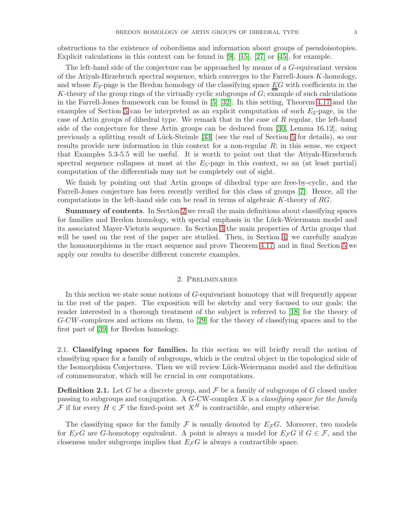obstructions to the existence of cobordisms and information about groups of pseudoisotopies. Explicit calculations in this context can be found in [\[9\]](#page-25-7), [\[15\]](#page-25-8), [\[27\]](#page-25-9) or [\[45\]](#page-26-4), for example.

The left-hand side of the conjecture can be approached by means of a G-equivariant version of the Atiyah-Hirzebruch spectral sequence, which converges to the Farrell-Jones K-homology, and whose  $E_2$ -page is the Bredon homology of the classifying space  $\underline{E}G$  with coefficients in the K-theory of the group rings of the virtually cyclic subgroups of  $G$ ; example of such calculations in the Farrell-Jones framework can be found in [\[5\]](#page-24-3) [\[32\]](#page-25-10). In this setting, Theorem [4.17](#page-19-0) and the examples of Section [5](#page-21-0) can be interpreted as an explicit computation of such  $E_2$ -page, in the case of Artin groups of dihedral type. We remark that in the case of  $R$  regular, the left-hand side of the conjecture for these Artin groups can be deduced from [\[30,](#page-25-11) Lemma 16.12], using previously a splitting result of Lück-Steimle [\[33\]](#page-25-12) (see the end of Section [5](#page-21-0) for details), so our results provide new information in this context for a non-regular  $R$ ; in this sense, we expect that Examples 5.3-5.5 will be useful. It is worth to point out that the Atiyah-Hirzebruch spectral sequence collapses at most at the  $E_5$ -page in this context, so an (at least partial) computation of the differentials may not be completely out of sight.

We finish by pointing out that Artin groups of dihedral type are free-by-cyclic, and the Farrell-Jones conjecture has been recently verified for this class of groups [\[7\]](#page-25-13). Hence, all the computations in the left-hand side can be read in terms of algebraic  $K$ -theory of  $RG$ .

Summary of contents. In Section [2](#page-2-0) we recall the main definitions about classifying spaces for families and Bredon homology, with special emphasis in the Lück-Weiermann model and its associated Mayer-Vietoris sequence. In Section [3](#page-5-0) the main properties of Artin groups that will be used on the rest of the paper are studied. Then, in Section [4,](#page-7-0) we carefully analyze the homomorphisms in the exact sequence and prove Theorem [4.17;](#page-19-0) and in final Section [5](#page-21-0) we apply our results to describe different concrete examples.

# 2. Preliminaries

<span id="page-2-0"></span>In this section we state some notions of G-equivariant homotopy that will frequently appear in the rest of the paper. The exposition will be sketchy and very focused to our goals; the reader interested in a thorough treatment of the subject is referred to [\[18\]](#page-25-14) for the theory of G-CW-complexes and actions on them, to [\[29\]](#page-25-15) for the theory of classifying spaces and to the first part of [\[39\]](#page-26-5) for Bredon homology.

2.1. Classifying spaces for families. In this section we will briefly recall the notion of classifying space for a family of subgroups, which is the central object in the topological side of the Isomorphism Conjectures. Then we will review Lück-Weiermann model and the definition of commensurator, which will be crucial in our computations.

**Definition 2.1.** Let G be a discrete group, and F be a family of subgroups of G closed under passing to subgroups and conjugation. A  $G$ -CW-complex  $X$  is a *classifying space for the family* F if for every  $H \in \mathcal{F}$  the fixed-point set  $X^H$  is contractible, and empty otherwise.

The classifying space for the family  $\mathcal F$  is usually denoted by  $E_{\mathcal F}G$ . Moreover, two models for  $E_{\mathcal{F}}G$  are G-homotopy equivalent. A point is always a model for  $E_{\mathcal{F}}G$  if  $G \in \mathcal{F}$ , and the closeness under subgroups implies that  $E_{\mathcal{F}}G$  is always a contractible space.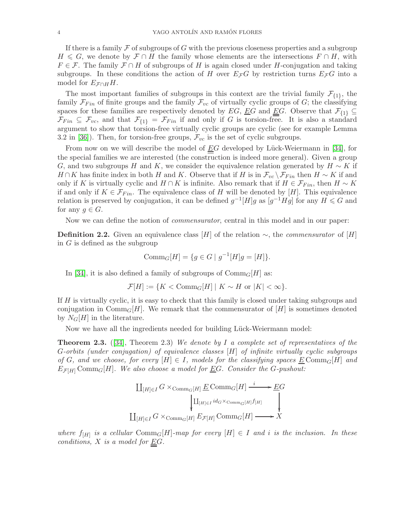If there is a family  $\mathcal F$  of subgroups of G with the previous closeness properties and a subgroup  $H \leq G$ , we denote by  $\mathcal{F} \cap H$  the family whose elements are the intersections  $F \cap H$ , with  $F \in \mathcal{F}$ . The family  $\mathcal{F} \cap H$  of subgroups of H is again closed under H-conjugation and taking subgroups. In these conditions the action of H over  $E_{\mathcal{F}}G$  by restriction turns  $E_{\mathcal{F}}G$  into a model for  $E_{\mathcal{F} \cap H}H$ .

The most important families of subgroups in this context are the trivial family  $\mathcal{F}_{\{1\}}$ , the family  $\mathcal{F}_{Fin}$  of finite groups and the family  $\mathcal{F}_{vc}$  of virtually cyclic groups of G; the classifying spaces for these families are respectively denoted by EG,  $\underline{E}G$  and  $\underline{E}G$ . Observe that  $\mathcal{F}_{\{1\}} \subseteq$  $\mathcal{F}_{Fin} \subseteq \mathcal{F}_{vc}$ , and that  $\mathcal{F}_{\{1\}} = \mathcal{F}_{Fin}$  if and only if G is torsion-free. It is also a standard argument to show that torsion-free virtually cyclic groups are cyclic (see for example Lemma 3.2 in [\[36\]](#page-25-16)). Then, for torsion-free groups,  $\mathcal{F}_{vc}$  is the set of cyclic subgroups.

From now on we will describe the model of  $\underline{E}G$  developed by Lück-Weiermann in [\[34\]](#page-25-4), for the special families we are interested (the construction is indeed more general). Given a group G, and two subgroups H and K, we consider the equivalence relation generated by  $H \sim K$  if  $H \cap K$  has finite index in both H and K. Observe that if H is in  $\mathcal{F}_{vc} \backslash \mathcal{F}_{Fin}$  then  $H \sim K$  if and only if K is virtually cyclic and  $H \cap K$  is infinite. Also remark that if  $H \in \mathcal{F}_{Fin}$ , then  $H \sim K$ if and only if  $K \in \mathcal{F}_{Fin}$ . The equivalence class of H will be denoted by [H]. This equivalence relation is preserved by conjugation, it can be defined  $g^{-1}[H]g$  as  $[g^{-1}Hg]$  for any  $H \leq G$  and for any  $g \in G$ .

Now we can define the notion of *commensurator*, central in this model and in our paper:

**Definition 2.2.** Given an equivalence class [H] of the relation  $\sim$ , the *commensurator* of [H] in G is defined as the subgroup

$$
Comm_G[H] = \{ g \in G \mid g^{-1}[H]g = [H] \}.
$$

In [\[34\]](#page-25-4), it is also defined a family of subgroups of  $Comm_G[H]$  as:

$$
\mathcal{F}[H] := \{ K < \text{Comm}_G[H] \mid K \sim H \text{ or } |K| < \infty \}.
$$

If  $H$  is virtually cyclic, it is easy to check that this family is closed under taking subgroups and conjugation in Comm $_G[H]$ . We remark that the commensurator of  $[H]$  is sometimes denoted by  $N_G[H]$  in the literature.

Now we have all the ingredients needed for building Lück-Weiermann model:

<span id="page-3-0"></span>**Theorem 2.3.** ([\[34\]](#page-25-4), Theorem 2.3) We denote by I a complete set of representatives of the G-orbits (under conjugation) of equivalence classes [H] of infinite virtually cyclic subgroups of G, and we choose, for every  $[H] \in I$ , models for the classifying spaces  $\underline{E}$ Comm $_G[H]$  and  $E_{\mathcal{F}[H]} \text{Comm}_{G}[H]$ . We also choose a model for EG. Consider the G-pushout:

$$
\begin{aligned}\n&\coprod_{[H]\in I} G \times_{\mathrm{Comm}_G[H]} \underline{E} \, \mathrm{Comm}_G[H] \xrightarrow{i} \underline{E} G \\
&\downarrow \coprod_{[H]\in I} id_G \times_{\mathrm{Comm}_G[H]} f_{[H]} \\
&\coprod_{[H]\in I} G \times_{\mathrm{Comm}_G[H]} E_{\mathcal{F}[H]} \, \mathrm{Comm}_G[H] \longrightarrow X\n\end{aligned}
$$

where  $f_{[H]}$  is a cellular  $\mathrm{Comm}_G[H]$ -map for every  $[H] \in I$  and i is the inclusion. In these conditions,  $X$  is a model for  $\underline{E}G$ .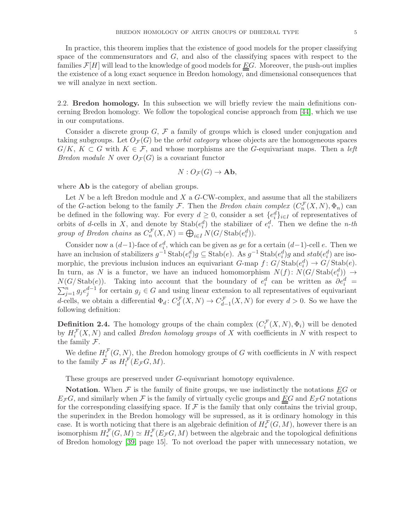In practice, this theorem implies that the existence of good models for the proper classifying space of the commensurators and  $G$ , and also of the classifying spaces with respect to the families  $\mathcal{F}[H]$  will lead to the knowledge of good models for  $\underline{E}G$ . Moreover, the push-out implies the existence of a long exact sequence in Bredon homology, and dimensional consequences that we will analyze in next section.

2.2. Bredon homology. In this subsection we will briefly review the main definitions concerning Bredon homology. We follow the topological concise approach from [\[44\]](#page-26-6), which we use in our computations.

Consider a discrete group  $G, \mathcal{F}$  a family of groups which is closed under conjugation and taking subgroups. Let  $O_{\mathcal{F}}(G)$  be the *orbit category* whose objects are the homogeneous spaces  $G/K, K \subset G$  with  $K \in \mathcal{F}$ , and whose morphisms are the G-equivariant maps. Then a left *Bredon module N* over  $O_{\mathcal{F}}(G)$  is a covariant functor

$$
N: O_{\mathcal{F}}(G) \to \mathbf{Ab},
$$

where **Ab** is the category of abelian groups.

Let  $N$  be a left Bredon module and  $X$  a  $G$ -CW-complex, and assume that all the stabilizers of the G-action belong to the family F. Then the Bredon chain complex  $(C_n^{\mathcal{F}}(X,N), \Phi_n)$  can be defined in the following way. For every  $d \geq 0$ , consider a set  $\{e_i^d\}_{i\in I}$  of representatives of orbits of d-cells in X, and denote by  $\text{Stab}(e_i^d)$  the stabilizer of  $e_i^d$ . Then we define the *n*-th group of Bredon chains as  $C_n^{\mathcal{F}}(X,N) = \bigoplus_{i \in I} N(G/\text{Stab}(e_i^d)).$ 

Consider now a  $(d-1)$ -face of  $e_i^d$ , which can be given as ge for a certain  $(d-1)$ -cell e. Then we have an inclusion of stabilizers  $g^{-1}$  Stab $(e_i^d)g \subseteq$  Stab $(e)$ . As  $g^{-1}$  Stab $(e_i^d)g$  and  $stab(e_i^d)$  are isomorphic, the previous inclusion induces an equivariant  $G$ -map  $f: G/\text{Stab}(e_i^d) \to G/\text{Stab}(e)$ . In turn, as N is a functor, we have an induced homomorphism  $N(f)$ :  $N(G/\text{Stab}(e_i^d)) \to$  $N(G/\text{Stab}(e))$ . Taking into account that the boundary of  $e_i^d$  can be written as  $\partial e_i^d$  =  $\sum_{j=1}^{n} g_j e_j^{d-1}$  for certain  $g_j \in G$  and using linear extension to all representatives of equivariant d-cells, we obtain a differential  $\Phi_d: C_d^{\mathcal{F}}(X,N) \to C_{d-1}^{\mathcal{F}}(X,N)$  for every  $d > 0$ . So we have the following definition:

**Definition 2.4.** The homology groups of the chain complex  $(C_i^{\mathcal{F}}(X, N), \Phi_i)$  will be denoted by  $H_i^{\mathcal{F}}(X,N)$  and called *Bredon homology groups* of X with coefficients in N with respect to the family  $\mathcal{F}.$ 

We define  $H_i^{\mathcal{F}}(G, N)$ , the Bredon homology groups of G with coefficients in N with respect to the family  $\mathcal F$  as  $H_i^{\mathcal F}(E_{\mathcal F} G,M)$ .

These groups are preserved under G-equivariant homotopy equivalence.

**Notation.** When F is the family of finite groups, we use indistinctly the notations  $\underline{E}G$  or  $E_{\mathcal{F}}G$ , and similarly when  $\mathcal F$  is the family of virtually cyclic groups and  $EG$  and  $E_{\mathcal{F}}G$  notations for the corresponding classifying space. If  $\mathcal F$  is the family that only contains the trivial group, the superindex in the Bredon homology will be supressed, as it is ordinary homology in this case. It is worth noticing that there is an algebraic definition of  $H_*^{\mathcal{F}}(G,M)$ , however there is an isomorphism  $H_*^{\mathcal{F}}(G,M) \simeq H_*^{\mathcal{F}}(E_{\mathcal{F}}G,M)$  between the algebraic and the topological definitions of Bredon homology [\[39,](#page-26-5) page 15]. To not overload the paper with unnecessary notation, we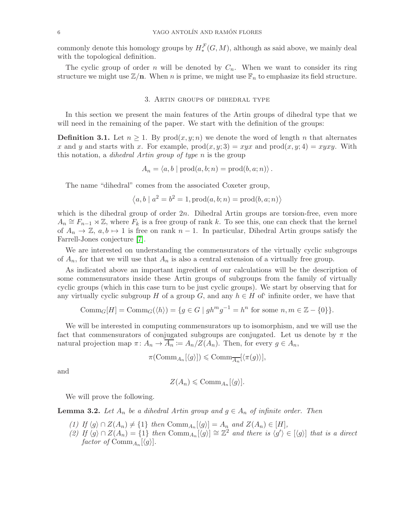commonly denote this homology groups by  $H_*^{\mathcal{F}}(G,M)$ , although as said above, we mainly deal with the topological definition.

<span id="page-5-0"></span>The cyclic group of order n will be denoted by  $C_n$ . When we want to consider its ring structure we might use  $\mathbb{Z}/n$ . When n is prime, we might use  $\mathbb{F}_n$  to emphasize its field structure.

#### 3. Artin groups of dihedral type

In this section we present the main features of the Artin groups of dihedral type that we will need in the remaining of the paper. We start with the definition of the groups:

**Definition 3.1.** Let  $n \geq 1$ . By prod $(x, y; n)$  we denote the word of length n that alternates x and y and starts with x. For example,  $\text{prod}(x, y; 3) = xyx$  and  $\text{prod}(x, y; 4) = xyxy$ . With this notation, a dihedral Artin group of type n is the group

$$
A_n = \langle a, b \mid \text{prod}(a, b; n) = \text{prod}(b, a; n) \rangle.
$$

The name "dihedral" comes from the associated Coxeter group,

$$
\langle a, b \mid a^2 = b^2 = 1, \text{prod}(a, b; n) = \text{prod}(b, a; n) \rangle
$$

which is the dihedral group of order  $2n$ . Dihedral Artin groups are torsion-free, even more  $A_n \cong F_{n-1} \rtimes \mathbb{Z}$ , where  $F_k$  is a free group of rank k. To see this, one can check that the kernel of  $A_n \to \mathbb{Z}$ ,  $a, b \to 1$  is free on rank  $n - 1$ . In particular, Dihedral Artin groups satisfy the Farrell-Jones conjecture [\[7\]](#page-25-13).

We are interested on understanding the commensurators of the virtually cyclic subgroups of  $A_n$ , for that we will use that  $A_n$  is also a central extension of a virtually free group.

As indicated above an important ingredient of our calculations will be the description of some commensurators inside these Artin groups of subgroups from the family of virtually cyclic groups (which in this case turn to be just cyclic groups). We start by observing that for any virtually cyclic subgroup H of a group G, and any  $h \in H$  of infinite order, we have that

$$
\text{Comm}_G[H] = \text{Comm}_G(\langle h \rangle) = \{ g \in G \mid gh^m g^{-1} = h^n \text{ for some } n, m \in \mathbb{Z} - \{0\} \}.
$$

We will be interested in computing commensurators up to isomorphism, and we will use the fact that commensurators of conjugated subgroups are conjugated. Let us denote by  $\pi$  the natural projection map  $\pi: A_n \to A_n := A_n/Z(A_n)$ . Then, for every  $g \in A_n$ ,

$$
\pi(\text{Comm}_{A_n}[\langle g \rangle]) \leq \text{Comm}_{\overline{A_n}}[\langle \pi(g) \rangle],
$$

and

$$
Z(A_n) \leqslant \mathrm{Comm}_{A_n}[\langle g \rangle].
$$

We will prove the following.

<span id="page-5-1"></span>**Lemma 3.2.** Let  $A_n$  be a dihedral Artin group and  $g \in A_n$  of infinite order. Then

- (1) If  $\langle g \rangle \cap Z(A_n) \neq \{1\}$  then  $\text{Comm}_{A_n}[\langle g \rangle] = A_n$  and  $Z(A_n) \in [H],$
- (2) If  $\langle g \rangle \cap Z(A_n) = \{1\}$  then  $\text{Comm}_{A_n}[\langle g \rangle] \cong \mathbb{Z}^2$  and there is  $\langle g' \rangle \in [\langle g \rangle]$  that is a direct factor of  $\mathrm{Comm}_{A_n}[\langle g \rangle]$ .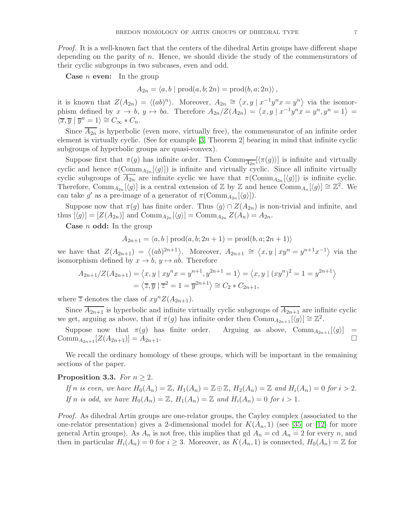Proof. It is a well-known fact that the centers of the dihedral Artin groups have different shape depending on the parity of  $n$ . Hence, we should divide the study of the commensurators of their cyclic subgroups in two subcases, even and odd.

**Case** *n* even: In the group

 $A_{2n} = \langle a, b \mid \text{prod}(a, b; 2n) = \text{prod}(b, a; 2n) \rangle$ .

it is known that  $Z(A_{2n}) = \langle (ab)^n \rangle$ . Moreover,  $A_{2n} \cong \langle x, y | x^{-1}y^n x = y^n \rangle$  via the isomorphism defined by  $x \to b$ ,  $y \to ba$ . Therefore  $A_{2n}/Z(A_{2n}) = \langle x, y | x^{-1}y^n x = y^n, y^n = 1 \rangle =$  $\overline{\langle x,\overline{y} \mid \overline{y}^n=1\rangle} \cong C_\infty * C_n.$ 

Since  $\overline{A_{2n}}$  is hyperbolic (even more, virtually free), the commensurator of an infinite order element is virtually cyclic. (See for example [\[3,](#page-24-4) Theorem 2] bearing in mind that infinite cyclic subgroups of hyperbolic groups are quasi-convex).

Suppose first that  $\pi(g)$  has infinite order. Then  $\text{Comm}_{\overline{A_{2n}}}[\langle \pi(g) \rangle]$  is infinite and virtually cyclic and hence  $\pi(\text{Comm}_{A_{2n}}[\langle g \rangle])$  is infinite and virtually cyclic. Since all infinite virtually cyclic subgroups of  $A_{2n}$  are infinite cyclic we have that  $\pi(\text{Comm}_{A_{2n}}[\langle g \rangle])$  is infinite cyclic. Therefore, Comm<sub>A<sub>2n</sub>[ $\langle g \rangle$ ] is a central extension of Z by Z and hence Comm<sub>An</sub>[ $\langle g \rangle$ ]  $\cong \mathbb{Z}^2$ . We</sub> can take g' as a pre-image of a generator of  $\pi(\text{Comm}_{A_{2n}}[\langle g \rangle]).$ 

Suppose now that  $\pi(g)$  has finite order. Thus  $\langle g \rangle \cap Z(A_{2n})$  is non-trivial and infinite, and thus  $[\langle g \rangle] = [Z(A_{2n})]$  and  $\mathrm{Comm}_{A_{2n}}[\langle g \rangle] = \mathrm{Comm}_{A_{2n}} Z(A_n) = A_{2n}$ .

**Case**  $n$  **odd:** In the group

$$
A_{2n+1} = \langle a, b \mid \text{prod}(a, b; 2n + 1) = \text{prod}(b, a; 2n + 1) \rangle
$$

we have that  $Z(A_{2n+1}) = \langle (ab)^{2n+1} \rangle$ . Moreover,  $A_{2n+1} \cong \langle x, y | xy^n = y^{n+1} x^{-1} \rangle$  via the isomorphism defined by  $x \to b$ ,  $y \mapsto ab$ . Therefore

$$
A_{2n+1}/Z(A_{2n+1}) = \langle x, y \mid xy^n x = y^{n+1}, y^{2n+1} = 1 \rangle = \langle x, y \mid (xy^n)^2 = 1 = y^{2n+1} \rangle
$$
  
=  $\langle \overline{z}, \overline{y} \mid \overline{z}^2 = 1 = \overline{y}^{2n+1} \rangle \cong C_2 * C_{2n+1},$ 

where  $\overline{z}$  denotes the class of  $xy^{n}Z(A_{2n+1})$ .

Since  $A_{2n+1}$  is hyperbolic and infinite virtually cyclic subgroups of  $\overline{A_{2n+1}}$  are infinite cyclic we get, arguing as above, that if  $\pi(g)$  has infinite order then  $\text{Comm}_{A_{2n+1}}[\langle g \rangle] \cong \mathbb{Z}^2$ .

Suppose now that  $\pi(g)$  has finite order. Arguing as above,  $\text{Comm}_{A_{2n+1}}[\langle g \rangle] = \text{imm}_{A_{2n+1}}[Z(A_{2n+1})] = A_{2n+1}$ .  $\text{Comm}_{A_{2n+1}}[Z(A_{2n+1})]=A_{2n+1}.$ 

We recall the ordinary homology of these groups, which will be important in the remaining sections of the paper.

# <span id="page-6-0"></span>Proposition 3.3. For  $n \geq 2$ .

If n is even, we have 
$$
H_0(A_n) = \mathbb{Z}
$$
,  $H_1(A_n) = \mathbb{Z} \oplus \mathbb{Z}$ ,  $H_2(A_n) = \mathbb{Z}$  and  $H_i(A_n) = 0$  for  $i > 2$ .  
If n is odd, we have  $H_0(A_n) = \mathbb{Z}$ ,  $H_1(A_n) = \mathbb{Z}$  and  $H_i(A_n) = 0$  for  $i > 1$ .

Proof. As dihedral Artin groups are one-relator groups, the Cayley complex (associated to the one-relator presentation) gives a 2-dimensional model for  $K(A_n, 1)$  (see [\[35\]](#page-25-17) or [\[12\]](#page-25-18) for more general Artin groups). As  $A_n$  is not free, this implies that gd  $A_n =$  cd  $A_n = 2$  for every n, and then in particular  $H_i(A_n) = 0$  for  $i \geq 3$ . Moreover, as  $K(A_n, 1)$  is connected,  $H_0(A_n) = \mathbb{Z}$  for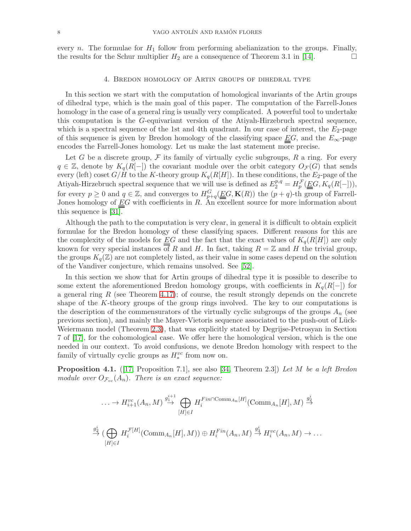<span id="page-7-0"></span>every n. The formulae for  $H_1$  follow from performing abelianization to the groups. Finally, the results for the Schur multiplier  $H_2$  are a consequence of Theorem 3.1 in [\[14\]](#page-25-19).

#### 4. Bredon homology of Artin groups of dihedral type

In this section we start with the computation of homological invariants of the Artin groups of dihedral type, which is the main goal of this paper. The computation of the Farrell-Jones homology in the case of a general ring is usually very complicated. A powerful tool to undertake this computation is the G-equivariant version of the Atiyah-Hirzebruch spectral sequence, which is a spectral sequence of the 1st and 4th quadrant. In our case of interest, the  $E_2$ -page of this sequence is given by Bredon homology of the classifying space  $\underline{E}G$ , and the  $E_{\infty}$ -page encodes the Farrell-Jones homology. Let us make the last statement more precise.

Let G be a discrete group,  $\mathcal F$  its family of virtually cyclic subgroups, R a ring. For every  $q \in \mathbb{Z}$ , denote by  $K_q(R[-])$  the covariant module over the orbit category  $O_{\mathcal{F}}(G)$  that sends every (left) coset  $G/H$  to the K-theory group  $K_q(R[H])$ . In these conditions, the  $E_2$ -page of the Atiyah-Hirzebruch spectral sequence that we will use is defined as  $E_2^{p,q} = H_p^{\mathcal{F}}(\underline{\underline{E}}G, K_q(R[-]))$ , for every  $p \ge 0$  and  $q \in \mathbb{Z}$ , and converges to  $H_{p+q}^G(\underline{\underline{E}}G, \mathbf{K}(R))$  the  $(p+q)$ -th group of Farrell-Jones homology of  $\underline{E}G$  with coefficients in  $R$ . An excellent source for more information about this sequence is [\[31\]](#page-25-6).

Although the path to the computation is very clear, in general it is difficult to obtain explicit formulae for the Bredon homology of these classifying spaces. Different reasons for this are the complexity of the models for  $\underline{E}G$  and the fact that the exact values of  $K_q(R[H])$  are only known for very special instances of R and H. In fact, taking  $R = \mathbb{Z}$  and H the trivial group, the groups  $K_q(\mathbb{Z})$  are not completely listed, as their value in some cases depend on the solution of the Vandiver conjecture, which remains unsolved. See [\[52\]](#page-26-7).

In this section we show that for Artin groups of dihedral type it is possible to describe to some extent the aforementioned Bredon homology groups, with coefficients in  $K_q(R[-])$  for a general ring  $R$  (see Theorem [4.17\)](#page-19-0); of course, the result strongly depends on the concrete shape of the K-theory groups of the group rings involved. The key to our computations is the description of the commensurators of the virtually cyclic subgroups of the groups  $A_n$  (see previous section), and mainly the Mayer-Vietoris sequence associated to the push-out of Lück-Weiermann model (Theorem [2.3\)](#page-3-0), that was explicitly stated by Degrijse-Petrosyan in Section 7 of [\[17\]](#page-25-3), for the cohomological case. We offer here the homological version, which is the one needed in our context. To avoid confusions, we denote Bredon homology with respect to the family of virtually cyclic groups as  $H^{vc}_{*}$  from now on.

<span id="page-7-1"></span>**Proposition 4.1.** ([\[17,](#page-25-3) Proposition 7.1], see also [\[34,](#page-25-4) Theorem 2.3]) Let M be a left Bredon module over  $O_{\mathcal{F}_{vc}}(A_n)$ . There is an exact sequence:

$$
\cdots \to H_{i+1}^{vc}(A_n, M) \xrightarrow{g_1^{i+1}} \bigoplus_{[H]\in I} H_i^{Fin \cap \text{Comm}_{A_n}[H]}(\text{Comm}_{A_n}[H], M) \xrightarrow{g_2^i} \bigoplus_{[H]\in I} H_i^{F[H]}(\text{Comm}_{A_n}[H], M) \oplus H_i^{Fin}(A_n, M) \xrightarrow{g_3^i} H_i^{vc}(A_n, M) \to \dots
$$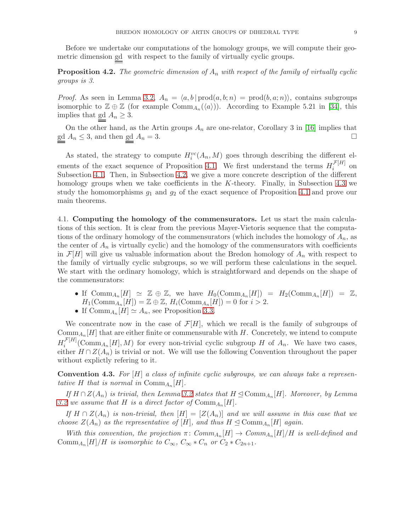Before we undertake our computations of the homology groups, we will compute their geometric dimension gd with respect to the family of virtually cyclic groups.

**Proposition 4.2.** The geometric dimension of  $A_n$  with respect of the family of virtually cyclic groups is 3.

*Proof.* As seen in Lemma [3.2,](#page-5-1)  $A_n = \langle a, b | \text{prod}(a, b; n) = \text{prod}(b, a; n) \rangle$ , contains subgroups isomorphic to  $\mathbb{Z} \oplus \mathbb{Z}$  (for example  $\mathrm{Comm}_{A_n}(\langle a \rangle)$ ). According to Example 5.21 in [\[34\]](#page-25-4), this implies that  $\underline{\text{gd}} A_n \geq 3$ .

On the other hand, as the Artin groups  $A_n$  are one-relator, Corollary 3 in [\[16\]](#page-25-20) implies that  $\underline{\underline{\mathrm{gd}}}$   $A_n \leq 3$ , and then  $\underline{\underline{\mathrm{gd}}}$   $A_n = 3$ .

As stated, the strategy to compute  $H_i^{vc}(A_n, M)$  goes through describing the different el-ements of the exact sequence of Proposition [4.1.](#page-7-1) We first understand the terms  $H_i^{\mathcal{F}[H]}$  $\int_i^{\mathcal{F}[H]}$  on Subsection [4.1.](#page-8-0) Then, in Subsection [4.2,](#page-12-0) we give a more concrete description of the different homology groups when we take coefficients in the K-theory. Finally, in Subsection [4.3](#page-15-0) we study the homomorphisms  $g_1$  and  $g_2$  of the exact sequence of Proposition [4.1](#page-7-1) and prove our main theorems.

<span id="page-8-0"></span>4.1. Computing the homology of the commensurators. Let us start the main calculations of this section. It is clear from the previous Mayer-Vietoris sequence that the computations of the ordinary homology of the commensurators (which includes the homology of  $A_n$ , as the center of  $A_n$  is virtually cyclic) and the homology of the commensurators with coefficients in  $\mathcal{F}[H]$  will give us valuable information about the Bredon homology of  $A_n$  with respect to the family of virtually cyclic subgroups, so we will perform these calculations in the sequel. We start with the ordinary homology, which is straightforward and depends on the shape of the commensurators:

- If  $\text{Comm}_{A_n}[H] \simeq \mathbb{Z} \oplus \mathbb{Z}$ , we have  $H_0(\text{Comm}_{A_n}[H]) = H_2(\text{Comm}_{A_n}[H]) = \mathbb{Z}$ ,  $H_1(\text{Comm}_{A_n}[H]) = \mathbb{Z} \oplus \mathbb{Z}, H_i(\text{Comm}_{A_n}[H]) = 0 \text{ for } i > 2.$
- If  $\text{Comm}_{A_n}[H] \simeq A_n$ , see Proposition [3.3.](#page-6-0)

We concentrate now in the case of  $\mathcal{F}[H]$ , which we recall is the family of subgroups of  $\mathrm{Comm}_{A_n}[H]$  that are either finite or commensurable with H. Concretely, we intend to compute  $H_i^{\mathcal{F}[H]}$  $\mathcal{F}^{[H]}_{i}$  (Comm<sub>An</sub> [H], M) for every non-trivial cyclic subgroup H of  $A_n$ . We have two cases, either  $H \cap Z(A_n)$  is trivial or not. We will use the following Convention throughout the paper without explictly refering to it.

**Convention 4.3.** For  $[H]$  a class of infinite cyclic subgroups, we can always take a representative H that is normal in  $\mathrm{Comm}_{A_n}[H]$ .

If  $H \cap Z(A_n)$  is trivial, then Lemma [3.2](#page-5-1) states that  $H \trianglelefteq \text{Comm}_{A_n}[H]$ . Moreover, by Lemma [3.2](#page-5-1) we assume that H is a direct factor of  $\mathrm{Comm}_{A_n}[H]$ .

If  $H \cap Z(A_n)$  is non-trivial, then  $[H] = [Z(A_n)]$  and we will assume in this case that we choose  $Z(A_n)$  as the representative of [H], and thus  $H \trianglelefteq \text{Comm}_{A_n}[H]$  again.

With this convention, the projection  $\pi$ :  $Comm_{A_n}[H] \to Comm_{A_n}[H]/H$  is well-defined and Comm<sub>An</sub> $[H]/H$  is isomorphic to  $C_{\infty}$ ,  $C_{\infty}$   $\ast$   $C_n$  or  $C_2$   $\ast$   $C_{2n+1}$ .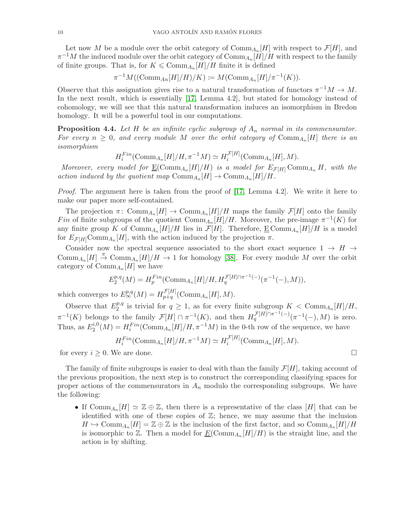Let now M be a module over the orbit category of  $\mathrm{Comm}_{A_n}[H]$  with respect to  $\mathcal{F}[H]$ , and  $\pi^{-1}M$  the induced module over the orbit category of  $\mathrm{Comm}_{A_n}[H]/H$  with respect to the family of finite groups. That is, for  $K \leqslant \mathrm{Comm}_{A_n}[H]/H$  finite it is defined

$$
\pi^{-1}M((\mathrm{Comm}_{An}[H]/H)/K) := M(\mathrm{Comm}_{A_n}[H]/\pi^{-1}(K)).
$$

Observe that this assignation gives rise to a natural transformation of functors  $\pi^{-1}M \to M$ . In the next result, which is essentially [\[17,](#page-25-3) Lemma 4.2], but stated for homology instead of cohomology, we will see that this natural transformation induces an isomorphism in Bredon homology. It will be a powerful tool in our computations.

<span id="page-9-0"></span>**Proposition 4.4.** Let H be an infinite cyclic subgroup of  $A_n$  normal in its commensurator. For every  $n \geq 0$ , and every module M over the orbit category of  $\mathrm{Comm}_{A_n}[H]$  there is an isomorphism

$$
H_i^{Fin}(\text{Comm}_{A_n}[H]/H, \pi^{-1}M) \simeq H_i^{\mathcal{F}[H]}(\text{Comm}_{A_n}[H], M).
$$

Moreover, every model for  $\underline{\mathrm{E}}(\mathrm{Comm}_{A_n}[H]/H)$  is a model for  $E_{\mathcal{F}[H]} \mathrm{Comm}_{A_n} H$ , with the action induced by the quotient map  $\mathrm{Comm}_{A_n}[H] \to \mathrm{Comm}_{A_n}[H]/H$ .

Proof. The argument here is taken from the proof of [\[17,](#page-25-3) Lemma 4.2]. We write it here to make our paper more self-contained.

The projection  $\pi$ : Comm<sub>An</sub> $[H] \to \text{Comm}_{A_n}[H]/H$  maps the family  $\mathcal{F}[H]$  onto the family Fin of finite subgroups of the quotient  $\mathrm{Comm}_{A_n}[H]/H$ . Moreover, the pre-image  $\pi^{-1}(K)$  for any finite group K of  $\mathrm{Comm}_{A_n}[H]/H$  lies in  $\mathcal{F}[H]$ . Therefore,  $\underline{\mathrm{E}\, \mathrm{Comm}_{A_n}[H]/H}$  is a model for  $E_{\mathcal{F}[H]} \text{Comm}_{A_n}[H]$ , with the action induced by the projection  $\pi$ .

Consider now the spectral sequence associated to the short exact sequence  $1 \rightarrow H \rightarrow$ Comm<sub>An</sub> $[H] \stackrel{\pi}{\to} \text{Comm}_{A_n}[H]/H \stackrel{\tau}{\to} 1$  for homology [\[38\]](#page-26-8). For every module M over the orbit category of  $\mathrm{Comm}_{A_n}[H]$  we have

$$
E_2^{p,q}(M) = H_p^{Fin}(\text{Comm}_{A_n}[H]/H, H_q^{\mathcal{F}[H]\cap \pi^{-1}(-)}(\pi^{-1}(-), M)),
$$

which converges to  $E^{p,q}_{\infty}(M) = H^{\mathcal{F}[H]}_{p+q}$  $_{p+q}^{\mathcal{F}[H]}$  (Comm<sub>An</sub>[H], M).

Observe that  $E_2^{p,q}$  $\frac{p,q}{2}$  is trivial for  $q \geq 1$ , as for every finite subgroup  $K < \text{Comm}_{A_n}[H]/H$ ,  $\pi^{-1}(K)$  belongs to the family  $\mathcal{F}[H] \cap \pi^{-1}(K)$ , and then  $H_q^{\mathcal{F}[H]\cap \pi^{-1}(-)}(\pi^{-1}(-),M)$  is zero. Thus, as  $E_2^{i,0}$  $u_2^{i,0}(M) = H_i^{Fin}(\text{Comm}_{A_n}[H]/H, \pi^{-1}M)$  in the 0-th row of the sequence, we have

$$
H_i^{Fin}(\text{Comm}_{A_n}[H]/H, \pi^{-1}M) \simeq H_i^{\mathcal{F}[H]}(\text{Comm}_{A_n}[H], M).
$$

for every  $i \geq 0$ . We are done.

The family of finite subgroups is easier to deal with than the family  $\mathcal{F}[H]$ , taking account of the previous proposition, the next step is to construct the corresponding classifying spaces for proper actions of the commensurators in  $A_n$  modulo the corresponding subgroups. We have the following:

• If  $\text{Comm}_{A_n}[H] \simeq \mathbb{Z} \oplus \mathbb{Z}$ , then there is a representative of the class  $[H]$  that can be identified with one of these copies of  $\mathbb{Z}$ ; hence, we may assume that the inclusion  $H \hookrightarrow \text{Comm}_{A_n}[H] = \mathbb{Z} \oplus \mathbb{Z}$  is the inclusion of the first factor, and so  $\text{Comm}_{A_n}[H]/H$ is isomorphic to  $\mathbb{Z}$ . Then a model for  $\underline{E}(\text{Comm}_{A_n}[H]/H)$  is the straight line, and the action is by shifting.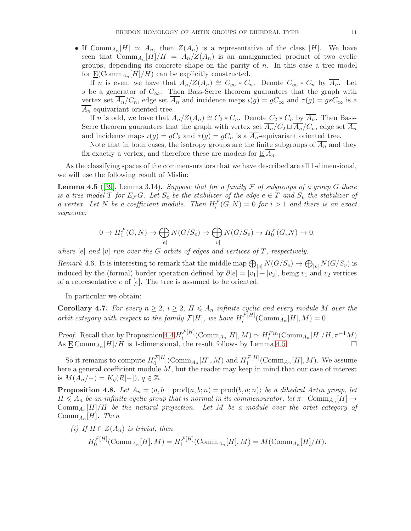• If  $\text{Comm}_{A_n}[H] \simeq A_n$ , then  $Z(A_n)$  is a representative of the class [H]. We have seen that  $\mathrm{Comm}_{A_n}[H]/H = A_n/Z(A_n)$  is an amalgamated product of two cyclic groups, depending its concrete shape on the parity of  $n$ . In this case a tree model for  $\underline{\mathrm{E}}(\mathrm{Comm}_{A_n}[H]/H)$  can be explicitly constructed.

If n is even, we have that  $A_n/Z(A_n) \cong C_\infty * C_n$ . Denote  $C_\infty * C_n$  by  $A_n$ . Let s be a generator of  $C_{\infty}$ . Then Bass-Serre theorem guarantees that the graph with vertex set  $\overline{A_n}/C_n$ , edge set  $\overline{A_n}$  and incidence maps  $\iota(g) = gC_\infty$  and  $\tau(g) = gsC_\infty$  is a  $A_n$ -equivariant oriented tree.

If n is odd, we have that  $A_n/Z(A_n) \cong C_2 * C_n$ . Denote  $C_2 * C_n$  by  $\overline{A_n}$ . Then Bass-Serre theorem guarantees that the graph with vertex set  $\overline{A_n}/C_2 \sqcup \overline{A_n}/C_n$ , edge set  $\overline{A_n}$ and incidence maps  $\iota(g) = gC_2$  and  $\tau(g) = gC_n$  is a  $\overline{A_n}$ -equivariant oriented tree.

Note that in both cases, the isotropy groups are the finite subgroups of  $\overline{A_n}$  and they fix exactly a vertex; and therefore these are models for  $\underline{E} A_n$ .

As the classifying spaces of the commensurators that we have described are all 1-dimensional, we will use the following result of Mislin:

<span id="page-10-0"></span>**Lemma 4.5** ([\[39\]](#page-26-5), Lemma 3.14). Suppose that for a family F of subgroups of a group G there is a tree model T for  $E_{\mathcal{F}}G$ . Let  $S_e$  be the stabilizer of the edge  $e \in T$  and  $S_v$  the stabilizer of a vertex. Let N be a coefficient module. Then  $H_i^{\mathcal{F}}(G,N) = 0$  for  $i > 1$  and there is an exact sequence:

$$
0 \to H_1^{\mathcal{F}}(G,N) \to \bigoplus_{[e]} N(G/S_e) \to \bigoplus_{[v]} N(G/S_v) \to H_0^{\mathcal{F}}(G,N) \to 0,
$$

where  $[e]$  and  $[v]$  run over the G-orbits of edges and vertices of T, respectively.

<span id="page-10-1"></span>Remark 4.6. It is interesting to remark that the middle map  $\bigoplus_{[e]} N(G/S_e) \to \bigoplus_{[v]} N(G/S_v)$  is induced by the (formal) border operation defined by  $\partial [e] = [v_1] - [v_2]$ , being  $v_1$  and  $v_2$  vertices of a representative  $e$  of  $[e]$ . The tree is assumed to be oriented.

In particular we obtain:

<span id="page-10-2"></span>**Corollary 4.7.** For every  $n \geq 2$ ,  $i \geq 2$ ,  $H \leq A_n$  infinite cyclic and every module M over the orbit category with respect to the family  $\mathcal{F}[H]$ , we have  $H_i^{\mathcal{F}[H]}$  $i^{J^{\pi}[H]}(\text{Comm}_{A_n}[H], M) = 0.$ 

*Proof.* Recall that by Proposition [4.4](#page-9-0)  $H_i^{\mathcal{F}[H]}$  $\mathcal{F}_i^{[H]}(\text{Comm}_{A_n}[H], M) \simeq H_i^{Fin}(\text{Comm}_{A_n}[H]/H, \pi^{-1}M).$ As  $\underline{\mathrm{E}} \text{Comm}_{A_n}[H]/H$  is 1-dimensional, the result follows by Lemma [4.5.](#page-10-0)

So it remains to compute  $H_0^{\mathcal{F}[H]}$  $\int_0^{\mathcal{F}[H]}$ (Comm<sub>An</sub>[H], M) and  $H_1^{\mathcal{F}[H]}$  $\int_1^{\mathcal{F}[H]}(\mathrm{Comm}_{A_n}[H],M)$ . We assume here a general coefficient module  $M$ , but the reader may keep in mind that our case of interest is  $M(A_n/-) = K_q(R[-])$ ,  $q \in \mathbb{Z}$ .

<span id="page-10-3"></span>**Proposition 4.8.** Let  $A_n = \langle a, b \mid \text{prod}(a, b; n) = \text{prod}(b, a; n) \rangle$  be a dihedral Artin group, let  $H \leq A_n$  be an infinite cyclic group that is normal in its commensurator, let  $\pi$ : Comm $_{A_n}[H] \to$  $\mathrm{Comm}_{A_n}[H]/H$  be the natural projection. Let M be a module over the orbit category of  $Comm_{A_n}[H]$ . Then

(i) If  $H \cap Z(A_n)$  is trivial, then

 $H_0^{{\cal F}[H]}$  $U_0^{\mathcal{F}[H]}(\text{Comm}_{A_n}[H], M) = H_1^{\mathcal{F}[H]}$  $\iint_1^{\mathcal{F}[H]}(\text{Comm}_{A_n}[H], M) = M(\text{Comm}_{A_n}[H]/H).$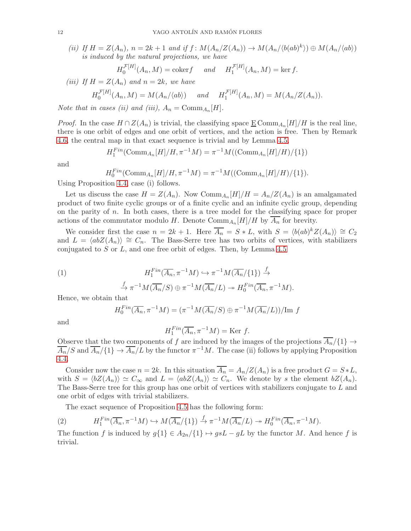(ii) If  $H = Z(A_n)$ ,  $n = 2k + 1$  and if  $f : M(A_n/Z(A_n)) \to M(A_n/\langle b(ab)^k \rangle) \oplus M(A_n/\langle ab \rangle)$ is induced by the natural projections, we have

$$
H_0^{\mathcal{F}[H]}(A_n, M) = \text{coker} f \quad \text{and} \quad H_1^{\mathcal{F}[H]}(A_n, M) = \ker f.
$$

(iii) If  $H = Z(A_n)$  and  $n = 2k$ , we have

$$
H_0^{\mathcal{F}[H]}(A_n, M) = M(A_n/\langle ab \rangle) \quad \text{and} \quad H_1^{\mathcal{F}[H]}(A_n, M) = M(A_n/Z(A_n)).
$$

Note that in cases (ii) and (iii),  $A_n = \text{Comm}_{A_n}[H]$ .

*Proof.* In the case  $H \cap Z(A_n)$  is trivial, the classifying space  $\underline{E} \text{Comm}_{A_n}[H]/H$  is the real line, there is one orbit of edges and one orbit of vertices, and the action is free. Then by Remark [4.6,](#page-10-1) the central map in that exact sequence is trivial and by Lemma [4.5,](#page-10-0)

$$
H_1^{Fin}(\text{Comm}_{A_n}[H]/H, \pi^{-1}M) = \pi^{-1}M((\text{Comm}_{A_n}[H]/H)/\{1\})
$$

and

$$
H_0^{Fin}(\text{Comm}_{A_n}[H]/H, \pi^{-1}M) = \pi^{-1}M((\text{Comm}_{A_n}[H]/H)/\{1\}).
$$

Using Proposition [4.4,](#page-9-0) case (i) follows.

Let us discuss the case  $H = Z(A_n)$ . Now  $\text{Comm}_{A_n}[H]/H = A_n/Z(A_n)$  is an amalgamated product of two finite cyclic groups or of a finite cyclic and an infinite cyclic group, depending on the parity of n. In both cases, there is a tree model for the classifying space for proper actions of the commutator modulo H. Denote  $\mathrm{Comm}_{A_n}[H]/H$  by  $A_n$  for brevity.

We consider first the case  $n = 2k + 1$ . Here  $\overline{A_n} = S * L$ , with  $S = \langle b(ab)^k Z(A_n) \rangle \cong C_2$ and  $L = \langle abZ(A_n) \rangle \cong C_n$ . The Bass-Serre tree has two orbits of vertices, with stabilizers conjugated to  $S$  or  $L$ , and one free orbit of edges. Then, by Lemma [4.5](#page-10-0)

(1) 
$$
H_1^{Fin}(\overline{A_n}, \pi^{-1}M) \hookrightarrow \pi^{-1}M(\overline{A_n}/\{1\}) \xrightarrow{f} \pi^{-1}M(\overline{A_n}/S) \oplus \pi^{-1}M(\overline{A_n}/L) \twoheadrightarrow H_0^{Fin}(\overline{A_n}, \pi^{-1}M).
$$

Hence, we obtain that

$$
H_0^{Fin}(\overline{A_n}, \pi^{-1}M) = (\pi^{-1}M(\overline{A_n}/S) \oplus \pi^{-1}M(\overline{A_n}/L))/\text{Im } f
$$

and

$$
H_1^{Fin}(\overline{A_n}, \pi^{-1}M) = \text{Ker } f.
$$

Observe that the two components of f are induced by the images of the projections  $A_n/\{1\} \rightarrow$  $\overline{A_n}/S$  and  $\overline{A_n}/\{1\} \to \overline{A_n}/L$  by the functor  $\pi^{-1}M$ . The case (ii) follows by applying Proposition [4.4.](#page-9-0)

Consider now the case  $n = 2k$ . In this situation  $\overline{A_n} = A_n/Z(A_n)$  is a free product  $G = S * L$ , with  $S = \langle bZ(A_n) \rangle \simeq C_\infty$  and  $L = \langle abZ(A_n) \rangle \simeq C_n$ . We denote by s the element  $bZ(A_n)$ . The Bass-Serre tree for this group has one orbit of vertices with stabilizers conjugate to L and one orbit of edges with trivial stabilizers.

The exact sequence of Proposition [4.5](#page-10-0) has the following form:

(2) 
$$
H_1^{Fin}(\overline{A_n}, \pi^{-1}M) \hookrightarrow M(\overline{A_n}/\{1\}) \xrightarrow{f} \pi^{-1}M(\overline{A_n}/L) \to H_0^{Fin}(\overline{A_n}, \pi^{-1}M).
$$

The function f is induced by  $g\{1\} \in A_{2n}/\{1\} \mapsto gsL - gL$  by the functor M. And hence f is trivial.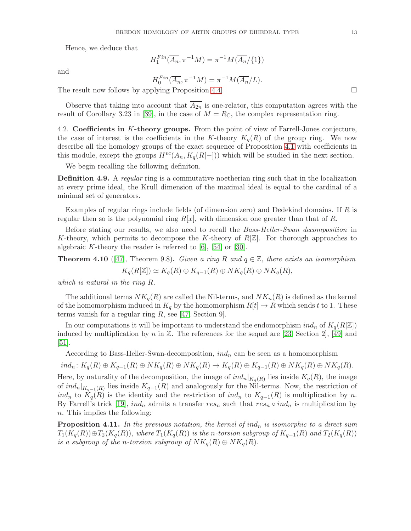Hence, we deduce that

and

$$
H_1^{Fin}(\overline{A_n}, \pi^{-1}M) = \pi^{-1}M(\overline{A_n}/\{1\})
$$

 $H_0^{Fin}(\overline{A_n}, \pi^{-1}M) = \pi^{-1}M(\overline{A_n}/L).$ 

The result now follows by applying Proposition [4.4.](#page-9-0)

Observe that taking into account that  $\overline{A_{2n}}$  is one-relator, this computation agrees with the result of Corollary 3.23 in [\[39\]](#page-26-5), in the case of  $M = R_{\mathbb{C}}$ , the complex representation ring.

<span id="page-12-0"></span>4.2. Coefficients in K-theory groups. From the point of view of Farrell-Jones conjecture, the case of interest is the coefficients in the K-theory  $K_q(R)$  of the group ring. We now describe all the homology groups of the exact sequence of Proposition [4.1](#page-7-1) with coefficients in this module, except the groups  $H^{vc}(A_n, K_q(R[-]))$  which will be studied in the next section.

We begin recalling the following definiton.

**Definition 4.9.** A regular ring is a commutative noetherian ring such that in the localization at every prime ideal, the Krull dimension of the maximal ideal is equal to the cardinal of a minimal set of generators.

Examples of regular rings include fields (of dimension zero) and Dedekind domains. If R is regular then so is the polynomial ring  $R[x]$ , with dimension one greater than that of R.

Before stating our results, we also need to recall the *Bass-Heller-Swan decomposition* in K-theory, which permits to decompose the K-theory of  $R[\mathbb{Z}]$ . For thorough approaches to algebraic K-theory the reader is referred to  $[6]$ ,  $[54]$  or  $[30]$ .

**Theorem 4.10** ([\[47\]](#page-26-10), Theorem 9.8). Given a ring R and  $q \in \mathbb{Z}$ , there exists an isomorphism

$$
K_q(R[\mathbb{Z}]) \simeq K_q(R) \oplus K_{q-1}(R) \oplus NK_q(R) \oplus NK_q(R),
$$

which is natural in the ring R.

The additional terms  $NK_q(R)$  are called the Nil-terms, and  $NK_n(R)$  is defined as the kernel of the homomorphism induced in  $K_q$  by the homomorphism  $R[t] \to R$  which sends t to 1. These terms vanish for a regular ring  $R$ , see [\[47,](#page-26-10) Section 9].

In our computations it will be important to understand the endomorphism  $ind_n$  of  $K_q(R[\mathbb{Z}])$ induced by multiplication by n in  $\mathbb{Z}$ . The references for the sequel are [\[23,](#page-25-21) Section 2], [\[49\]](#page-26-11) and [\[51\]](#page-26-12).

According to Bass-Heller-Swan-decomposition,  $ind_n$  can be seen as a homomorphism

 $ind_n: K_q(R) \oplus K_{q-1}(R) \oplus NK_q(R) \oplus NK_q(R) \rightarrow K_q(R) \oplus K_{q-1}(R) \oplus NK_q(R) \oplus NK_q(R).$ 

Here, by naturality of the decomposition, the image of  $ind_n|_{K_q(R)}$  lies inside  $K_q(R)$ , the image of  $ind_n|_{K_{q-1}(R)}$  lies inside  $K_{q-1}(R)$  and analogously for the Nil-terms. Now, the restriction of ind<sub>n</sub> to  $K_q(R)$  is the identity and the restriction of ind<sub>n</sub> to  $K_{q-1}(R)$  is multiplication by n. By Farrell's trick [\[19\]](#page-25-22), ind<sub>n</sub> admits a transfer res<sub>n</sub> such that res<sub>n</sub>  $\circ$  ind<sub>n</sub> is multiplication by n. This implies the following:

<span id="page-12-1"></span>**Proposition 4.11.** In the previous notation, the kernel of  $ind_n$  is isomorphic to a direct sum  $T_1(K_q(R)) \oplus T_2(K_q(R))$ , where  $T_1(K_q(R))$  is the n-torsion subgroup of  $K_{q-1}(R)$  and  $T_2(K_q(R))$ is a subgroup of the n-torsion subgroup of  $NK_q(R) \oplus NK_q(R)$ .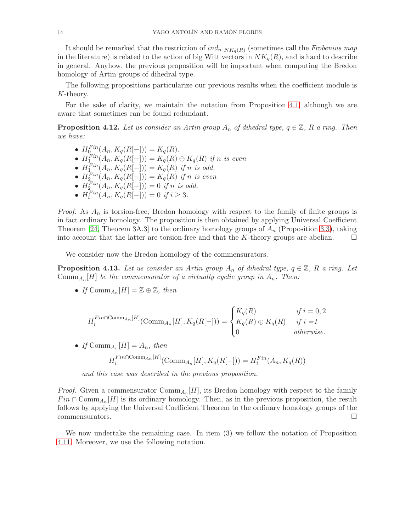It should be remarked that the restriction of  $ind_n|_{NK_q(R)}$  (sometimes call the *Frobenius map* in the literature) is related to the action of big Witt vectors in  $NK_q(R)$ , and is hard to describe in general. Anyhow, the previous proposition will be important when computing the Bredon homology of Artin groups of dihedral type.

The following propositions particularize our previous results when the coefficient module is K-theory.

For the sake of clarity, we maintain the notation from Proposition [4.1,](#page-7-1) although we are aware that sometimes can be found redundant.

<span id="page-13-0"></span>**Proposition 4.12.** Let us consider an Artin group  $A_n$  of dihedral type,  $q \in \mathbb{Z}$ , R a ring. Then we have:

- $H_0^{Fin}(A_n, K_q(R[-])) = K_q(R)$ .
- $H_1^{Fin}(A_n, K_q(R[-])) = K_q(R) \oplus K_q(R)$  if n is even
- $H_1^{Fin}(A_n, K_q(R[-])) = K_q(R)$  if n is odd.
- $H_2^{Fin}(A_n, K_q(R[-])) = K_q(R)$  if n is even
- $H_2^{Fin}(A_n, K_q(R[-])) = 0$  if n is odd.
- $H_i^{Fin}(A_n, K_q(R[-])) = 0$  if  $i \geq 3$ .

*Proof.* As  $A_n$  is torsion-free, Bredon homology with respect to the family of finite groups is in fact ordinary homology. The proposition is then obtained by applying Universal Coefficient Theorem [\[24,](#page-25-23) Theorem 3A.3] to the ordinary homology groups of  $A_n$  (Proposition [3.3\)](#page-6-0), taking into account that the latter are torsion-free and that the K-theory groups are abelian.  $\square$ 

We consider now the Bredon homology of the commensurators.

<span id="page-13-1"></span>**Proposition 4.13.** Let us consider an Artin group  $A_n$  of dihedral type,  $q \in \mathbb{Z}$ , R a ring. Let  $\mathrm{Comm}_{A_n}[H]$  be the commensurator of a virtually cyclic group in  $A_n$ . Then:

• If  $\mathrm{Comm}_{A_n}[H] = \mathbb{Z} \oplus \mathbb{Z}$ , then

$$
H_i^{Fin \cap \text{Comm}_{An}[H]}(\text{Comm}_{A_n}[H], K_q(R[-])) = \begin{cases} K_q(R) & \text{if } i = 0, 2\\ K_q(R) \oplus K_q(R) & \text{if } i = 1\\ 0 & \text{otherwise.} \end{cases}
$$

• If  $\text{Comm}_{A_n}[H] = A_n$ , then  $H_i^{Fin\cap \text{Comm}_{A_n}[H]}(\text{Comm}_{A_n}[H], K_q(R[-])) = H_i^{Fin}(A_n, K_q(R))$ 

and this case was described in the previous proposition.

*Proof.* Given a commensurator  $\text{Comm}_{A_n}[H]$ , its Bredon homology with respect to the family  $Fin \cap \text{Comm}_{A_n}[H]$  is its ordinary homology. Then, as in the previous proposition, the result follows by applying the Universal Coefficient Theorem to the ordinary homology groups of the commensurators.

We now undertake the remaining case. In item (3) we follow the notation of Proposition [4.11.](#page-12-1) Moreover, we use the following notation.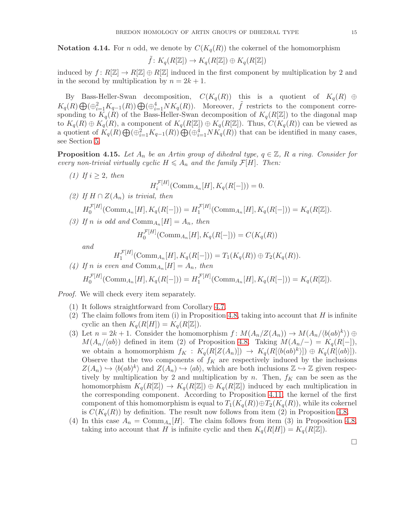<span id="page-14-1"></span>**Notation 4.14.** For n odd, we denote by  $C(K_q(R))$  the cokernel of the homomorphism

$$
\tilde{f} \colon K_q(R[\mathbb{Z}]) \to K_q(R[\mathbb{Z}]) \oplus K_q(R[\mathbb{Z}])
$$

induced by  $f: R[\mathbb{Z}] \to R[\mathbb{Z}] \oplus R[\mathbb{Z}]$  induced in the first component by multiplication by 2 and in the second by multiplication by  $n = 2k + 1$ .

By Bass-Heller-Swan decomposition,  $C(K_q(R))$  this is a quotient of  $K_q(R) \oplus$  $K_q(R) \bigoplus (\bigoplus_{i=1}^2 K_{q-1}(R)) \bigoplus (\bigoplus_{i=1}^4 NK_q(R))$ . Moreover,  $\tilde{f}$  restricts to the component corresponding to  $K_q(R)$  of the Bass-Heller-Swan decomposition of  $K_q(R[\mathbb{Z}])$  to the diagonal map to  $K_q(R) \oplus K_q(R)$ , a component of  $K_q(R[\mathbb{Z}]) \oplus K_q(R[\mathbb{Z}])$ . Thus,  $C(K_q(R))$  can be viewed as a quotient of  $K_q(R) \bigoplus (\oplus_{i=1}^2 K_{q-1}(R)) \bigoplus (\oplus_{i=1}^4 NK_q(R))$  that can be identified in many cases, see Section [5.](#page-21-0)

<span id="page-14-0"></span>**Proposition 4.15.** Let  $A_n$  be an Artin group of dihedral type,  $q \in \mathbb{Z}$ , R a ring. Consider for every non-trivial virtually cyclic  $H \leq A_n$  and the family  $\mathcal{F}[H]$ . Then:

- $H_i^{\mathcal{F}[H]}$  $i_i^{\mathcal{F}[H]}(\text{Comm}_{A_n}[H], K_q(R[-])) = 0.$ (2) If  $H \cap Z(A_n)$  is trivial, then  $H_0^{\mathcal{F}[H]}$  $U_0^{\mathcal{F}[H]}(\text{Comm}_{A_n}[H], K_q(R[-])) = H_1^{\mathcal{F}[H]}$  $K_q(R[-]) = K_q(R[\mathbb{Z}]).$ 
	- (3) If n is odd and  $\mathrm{Comm}_{A_n}[H] = A_n$ , then

$$
H_0^{\mathcal{F}[H]}(\text{Comm}_{A_n}[H], K_q(R[-])) = C(K_q(R))
$$

and

(1) If  $i \geq 2$ , then

$$
H_1^{\mathcal{F}[H]}(\text{Comm}_{A_n}[H], K_q(R[-])) = T_1(K_q(R)) \oplus T_2(K_q(R)).
$$

(4) If n is even and 
$$
\text{Comm}_{A_n}[H] = A_n
$$
, then  
\n
$$
H_0^{\mathcal{F}[H]}(\text{Comm}_{A_n}[H], K_q(R[-])) = H_1^{\mathcal{F}[H]}(\text{Comm}_{A_n}[H], K_q(R[-])) = K_q(R[\mathbb{Z}]).
$$

Proof. We will check every item separately.

- (1) It follows straightforward from Corollary [4.7.](#page-10-2)
- (2) The claim follows from item (i) in Proposition [4.8,](#page-10-3) taking into account that  $H$  is infinite cyclic an then  $K_q(R[H]) = K_q(R[\mathbb{Z}]).$
- (3) Let  $n = 2k + 1$ . Consider the homomorphism  $f: M(A_n/Z(A_n)) \to M(A_n/\langle b(ab)^k \rangle) \oplus$  $M(A_n/\langle ab \rangle)$  defined in item (2) of Proposition [4.8.](#page-10-3) Taking  $M(A_n/-) = K_q(R[-])$ , we obtain a homomorphism  $f_K: K_q(R[Z(A_n)]) \to K_q(R[\langle b(ab)^k \rangle]) \oplus K_q(R[\langle ab \rangle]).$ Observe that the two components of  $f_K$  are respectively induced by the inclusions  $Z(A_n) \hookrightarrow \langle b(ab)^k \rangle$  and  $Z(A_n) \hookrightarrow \langle ab \rangle$ , which are both inclusions  $\mathbb{Z} \hookrightarrow \mathbb{Z}$  given respectively by multiplication by 2 and multiplication by n. Then,  $f_K$  can be seen as the homomorphism  $K_q(R[\mathbb{Z}]) \to K_q(R[\mathbb{Z}]) \oplus K_q(R[\mathbb{Z}])$  induced by each multiplication in the corresponding component. According to Proposition [4.11,](#page-12-1) the kernel of the first component of this homomorphism is equal to  $T_1(K_q(R)) \oplus T_2(K_q(R))$ , while its cokernel is  $C(K_q(R))$  by definition. The result now follows from item (2) in Proposition [4.8.](#page-10-3)
- (4) In this case  $A_n = \text{Comm}_{A_n}[H]$ . The claim follows from item (3) in Proposition [4.8,](#page-10-3) taking into account that H is infinite cyclic and then  $K_q(R[H]) = K_q(R[\mathbb{Z}]).$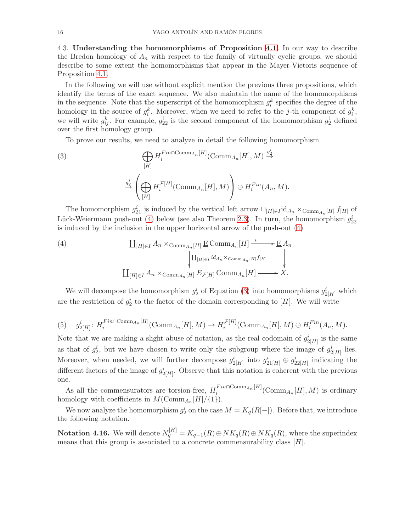<span id="page-15-0"></span>4.3. Understanding the homomorphisms of Proposition [4.1.](#page-7-1) In our way to describe the Bredon homology of  $A_n$  with respect to the family of virtually cyclic groups, we should describe to some extent the homomorphisms that appear in the Mayer-Vietoris sequence of Proposition [4.1.](#page-7-1)

In the following we will use without explicit mention the previous three propositions, which identify the terms of the exact sequence. We also maintain the name of the homomorphisms in the sequence. Note that the superscript of the homomorphism  $g_i^k$  specifies the degree of the homology in the source of  $g_i^k$ . Moreover, when we need to refer to the j-th component of  $g_i^k$ , we will write  $g_{ij}^k$ . For example,  $g_{22}^1$  is the second component of the homomorphism  $g_2^1$  defined over the first homology group.

<span id="page-15-2"></span>To prove our results, we need to analyze in detail the following homomorphism

(3)  
\n
$$
\bigoplus_{[H]} H_i^{Fin\cap \text{Comm}_{A_n}[H]}(\text{Comm}_{A_n}[H], M) \stackrel{g_2^i}{\rightarrow}
$$
\n
$$
\xrightarrow{g_2^i} \left( \bigoplus_{[H]} H_i^{\mathcal{F}[H]}(\text{Comm}_{A_n}[H], M) \right) \oplus H_i^{Fin}(A_n, M).
$$

The homomorphism  $g_{21}^i$  is induced by the vertical left arrow  $\Box_{[H]\in I}$ id<sub>An</sub> ×<sub>Comm<sub>An</sub>[H] f[H] of</sub> Lück-Weiermann push-out [\(4\)](#page-15-1) below (see also Theorem [2.3\)](#page-3-0). In turn, the homomorphism  $g_{22}^i$ is induced by the inclusion in the upper horizontal arrow of the push-out [\(4\)](#page-15-1)

<span id="page-15-1"></span>(4)  
\n
$$
\coprod_{[H]\in I} A_n \times_{\mathrm{Comm}_{A_n}[H]} \underline{\mathbf{E}} \mathrm{Comm}_{A_n}[H] \xrightarrow{i} \underline{\mathbf{E}} A_n
$$
\n
$$
\downarrow \qquad \qquad \downarrow \qquad \qquad \downarrow
$$
\n
$$
\coprod_{[H]\in I} A_n \times_{\mathrm{Comm}_{A_n}[H]} E_{\mathcal{F}[H]} \mathrm{Comm}_{A_n}[H] \xrightarrow{i} X.
$$

We will decompose the homomorphism  $g_2^i$  of Equation [\(3\)](#page-15-2) into homomorphisms  $g_{2[H]}^i$  which are the restriction of  $g_2^i$  to the factor of the domain corresponding to [H]. We will write

<span id="page-15-3"></span>(5) 
$$
g_{2[H]}^i
$$
:  $H_i^{Fin \cap \text{Comm}_{A_n}[H]}(\text{Comm}_{A_n}[H], M) \to H_i^{\mathcal{F}[H]}(\text{Comm}_{A_n}[H], M) \oplus H_i^{Fin}(A_n, M).$ 

Note that we are making a slight abuse of notation, as the real codomain of  $g_{2[H]}^i$  is the same as that of  $g_2^i$ , but we have chosen to write only the subgroup where the image of  $g_{2[H]}^i$  lies. Moreover, when needed, we will further decompose  $g_{2[H]}^i$  into  $g_{21[H]}^i \oplus g_{22[H]}^i$  indicating the different factors of the image of  $g_{2[H]}^i$ . Observe that this notation is coherent with the previous one.

As all the commensurators are torsion-free,  $H_i^{Fin\cap \text{Comm}_{A_n}[H]}(\text{Comm}_{A_n}[H],M)$  is ordinary homology with coefficients in  $M(\text{Comm}_{A_n}[H]/\{1\}).$ 

We now analyze the homomorphism  $g_2^i$  on the case  $M = K_q(R[-])$ . Before that, we introduce the following notation.

**Notation 4.16.** We will denote  $N_q^{[H]} = K_{q-1}(R) \oplus NK_q(R) \oplus NK_q(R)$ , where the superindex means that this group is associated to a concrete commensurability class  $[H]$ .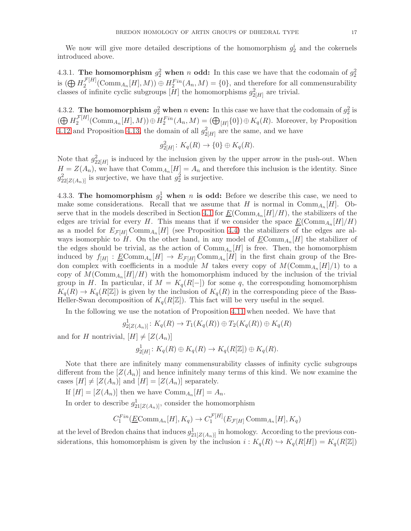We now will give more detailed descriptions of the homomorphism  $g_2^i$  and the cokernels introduced above.

<span id="page-16-1"></span>4.3.1. The homomorphism  $g_2^2$  when n odd: In this case we have that the codomain of  $g_2^2$ is  $(\bigoplus H_2^{\mathcal{F}[H]}$  $L_2^{L[H]}(\text{Comm}_{A_n}[H], M)) \oplus H_2^{Fin}(A_n, M) = \{0\}$ , and therefore for all commensurability classes of infinite cyclic subgroups  $[H]$  the homomorphisms  $g_{2[H]}^2$  are trivial.

4.3.2. The homomorphism  $g_2^2$  when n even: In this case we have that the codomain of  $g_2^2$  is  $\left(\bigoplus H^{\mathcal{F}[H]}_2\right)$  $Z_2^{[H]}(\text{Comm}_{A_n}[H], M)) \oplus H_2^{Fin}(A_n, M) = (\bigoplus_{[H]} \{0\}) \oplus K_q(R)$ . Moreover, by Proposition [4.12](#page-13-0) and Proposition [4.13,](#page-13-1) the domain of all  $g_{2[H]}^2$  are the same, and we have

$$
g_{2[H]}^2 \colon K_q(R) \to \{0\} \oplus K_q(R).
$$

Note that  $g_{22[H]}^2$  is induced by the inclusion given by the upper arrow in the push-out. When  $H = Z(A_n)$ , we have that  $\mathrm{Comm}_{A_n}[H] = A_n$  and therefore this inclusion is the identity. Since  $g_{22[Z(A_n)]}^2$  is surjective, we have that  $g_2^2$  is surjective.

<span id="page-16-0"></span>4.3.3. The homomorphism  $g_2^1$  when n is odd: Before we describe this case, we need to make some considerations. Recall that we assume that H is normal in  $\text{Comm}_{A_n}[H]$ . Ob-serve that in the models described in Section [4.1](#page-8-0) for  $\underline{E}(\text{Comm}_{A_n}[H]/H)$ , the stabilizers of the edges are trivial for every H. This means that if we consider the space  $\underline{E}(\text{Comm}_{A_n}[H]/H)$ as a model for  $E_{\mathcal{F}[H]} \text{Comm}_{A_n}[H]$  (see Proposition [4.4\)](#page-9-0) the stabilizers of the edges are always isomorphic to H. On the other hand, in any model of  $\underline{E}$ Com $m_{A_n}[H]$  the stabilizer of the edges should be trivial, as the action of  $\mathrm{Comm}_{A_n}[H]$  is free. Then, the homomorphism induced by  $f_{[H]}: \underline{E}\text{Comm}_{A_n}[H] \to E_{\mathcal{F}[H]} \text{Comm}_{A_n}[H]$  in the first chain group of the Bredon complex with coefficients in a module M takes every copy of  $M(\text{Comm}_{A_n}[H]/1)$  to a copy of  $M(\text{Comm}_{A_n}[H]/H)$  with the homomorphism induced by the inclusion of the trivial group in H. In particular, if  $M = K_q(R[-])$  for some q, the corresponding homomorphism  $K_q(R) \to K_q(R[\mathbb{Z}])$  is given by the inclusion of  $K_q(R)$  in the corresponding piece of the Bass-Heller-Swan decomposition of  $K_q(R[\mathbb{Z}])$ . This fact will be very useful in the sequel.

In the following we use the notation of Proposition [4.11](#page-12-1) when needed. We have that

$$
g_{2[Z(A_n)]}^1: K_q(R) \to T_1(K_q(R)) \oplus T_2(K_q(R)) \oplus K_q(R)
$$

and for H nontrivial,  $[H] \neq [Z(A_n)]$ 

$$
g_{2[H]}^1: K_q(R) \oplus K_q(R) \to K_q(R[\mathbb{Z}]) \oplus K_q(R).
$$

Note that there are infinitely many commensurability classes of infinity cyclic subgroups different from the  $[Z(A_n)]$  and hence infinitely many terms of this kind. We now examine the cases  $[H] \neq [Z(A_n)]$  and  $[H] = [Z(A_n)]$  separately.

If  $[H] = [Z(A_n)]$  then we have  $\text{Comm}_{A_n}[H] = A_n$ .

In order to describe  $g_{21[Z(A_n)]}^1$ , consider the homomorphism

$$
C_1^{Fin}(\underline{E}\mathrm{Comm}_{A_n}[H], K_q) \to C_1^{\mathcal{F}[H]}(E_{\mathcal{F}[H]}\mathrm{Comm}_{A_n}[H], K_q)
$$

at the level of Bredon chains that induces  $g_{21[Z(A_n)]}^1$  in homology. According to the previous considerations, this homomorphism is given by the inclusion  $i: K_q(R) \hookrightarrow K_q(R[H]) = K_q(R[\mathbb{Z}])$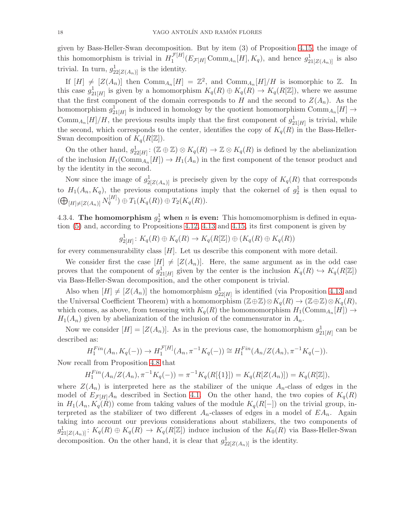given by Bass-Heller-Swan decomposition. But by item (3) of Proposition [4.15,](#page-14-0) the image of this homomorphism is trivial in  $H_1^{\mathcal{F}[H]}$  $\frac{\mathcal{F}[H]}{1}(E_{\mathcal{F}[H]}\text{Comm}_{A_n}[H], K_q)$ , and hence  $g_{21[Z(A_n)]}^1$  is also trivial. In turn,  $g_{22[Z(A_n)]}^1$  is the identity.

If  $[H] \neq [Z(A_n)]$  then  $\text{Comm}_{A_n}[H] = \mathbb{Z}^2$ , and  $\text{Comm}_{A_n}[H]/H$  is isomorphic to  $\mathbb{Z}$ . In this case  $g_{21[H]}^1$  is given by a homomorphism  $K_q(R) \oplus K_q(R) \to K_q(R[\mathbb{Z}])$ , where we assume that the first component of the domain corresponds to H and the second to  $Z(A_n)$ . As the homomorphism  $g_{21[H]}^1$  is induced in homology by the quotient homomorphism  $\text{Comm}_{A_n}[H] \to$ Comm<sub>An</sub> $[H]/H$ , the previous results imply that the first component of  $g_{21[H]}^1$  is trivial, while the second, which corresponds to the center, identifies the copy of  $K_q(R)$  in the Bass-Heller-Swan decomposition of  $K_q(R[\mathbb{Z}])$ .

On the other hand,  $g_{22[H]}^1$ :  $(\mathbb{Z} \oplus \mathbb{Z}) \otimes K_q(R) \to \mathbb{Z} \otimes K_q(R)$  is defined by the abelianization of the inclusion  $H_1(\text{Comm}_{A_n}[H]) \to H_1(A_n)$  in the first component of the tensor product and by the identity in the second.

Now since the image of  $g_{2[Z(A_n)]}^1$  is precisely given by the copy of  $K_q(R)$  that corresponds to  $H_1(A_n, K_q)$ , the previous computations imply that the cokernel of  $g_2^1$  is then equal to  $(\bigoplus_{[H]\neq [Z(A_n)]} N_q^{[H]}) \oplus T_1(K_q(R)) \oplus T_2(K_q(R)).$ 

4.3.4. The homomorphism  $g_2^1$  when n is even: This homomomorphism is defined in equation [\(5\)](#page-15-3) and, according to Propositions [4.12,](#page-13-0) [4.13](#page-13-1) and [4.15,](#page-14-0) its first component is given by

$$
g_{2[H]}^1\colon K_q(R)\oplus K_q(R)\to K_q(R[\mathbb{Z}])\oplus (K_q(R)\oplus K_q(R))
$$

for every commensurability class [H]. Let us describe this component with more detail.

We consider first the case  $[H] \neq [Z(A_n)]$ . Here, the same argument as in the odd case proves that the component of  $g_{21[H]}^1$  given by the center is the inclusion  $K_q(R) \hookrightarrow K_q(R[\mathbb{Z}])$ via Bass-Heller-Swan decomposition, and the other component is trivial.

Also when  $[H] \neq [Z(A_n)]$  the homomorphism  $g_{22[H]}^1$  is identified (via Proposition [4.13](#page-13-1) and the Universal Coefficient Theorem) with a homomorphism  $(\mathbb{Z}\oplus\mathbb{Z})\otimes K_q(R)\to (\mathbb{Z}\oplus\mathbb{Z})\otimes K_q(R)$ , which comes, as above, from tensoring with  $K_q(R)$  the homomomorphism  $H_1(\text{Comm}_{A_n}[H]) \to$  $H_1(A_n)$  given by abelianization of the inclusion of the commensurator in  $A_n$ .

Now we consider  $[H] = [Z(A_n)]$ . As in the previous case, the homomorphism  $g_{21[H]}^1$  can be described as:

$$
H_1^{Fin}(A_n, K_q(-)) \to H_1^{\mathcal{F}[H]}(A_n, \pi^{-1}K_q(-)) \cong H_1^{Fin}(A_n/Z(A_n), \pi^{-1}K_q(-)).
$$

Now recall from Proposition [4.8](#page-10-3) that

$$
H_1^{Fin}(A_n/Z(A_n), \pi^{-1}K_q(-)) = \pi^{-1}K_q(R[\{1\}]) = K_q(R[Z(A_n)]) = K_q(R[\mathbb{Z}]),
$$

where  $Z(A_n)$  is interpreted here as the stabilizer of the unique  $A_n$ -class of edges in the model of  $E_{\mathcal{F}[H]}A_n$  described in Section [4.1.](#page-8-0) On the other hand, the two copies of  $K_q(R)$ in  $H_1(A_n, K_q(R))$  come from taking values of the module  $K_q(R[-])$  on the trivial group, interpreted as the stabilizer of two different  $A_n$ -classes of edges in a model of  $EA_n$ . Again taking into account our previous considerations about stabilizers, the two components of  $g_{21[Z(A_n)]}^1: K_q(R) \oplus K_q(R) \to K_q(R[\mathbb{Z}])$  induce inclusion of the  $K_0(R)$  via Bass-Heller-Swan decomposition. On the other hand, it is clear that  $g_{22[Z(A_n)]}^1$  is the identity.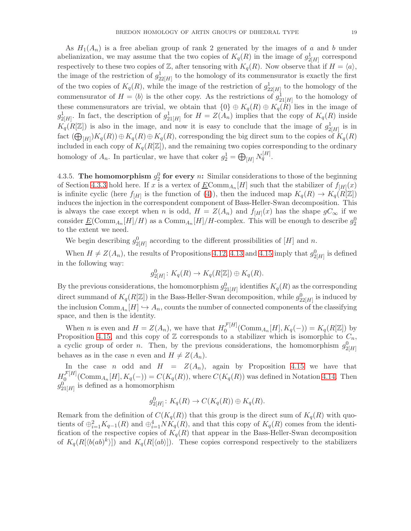As  $H_1(A_n)$  is a free abelian group of rank 2 generated by the images of a and b under abelianization, we may assume that the two copies of  $K_q(R)$  in the image of  $g_{2[H]}^1$  correspond respectively to these two copies of Z, after tensoring with  $K_q(R)$ . Now observe that if  $H = \langle a \rangle$ , the image of the restriction of  $g_{22[H]}^1$  to the homology of its commensurator is exactly the first of the two copies of  $K_q(R)$ , while the image of the restriction of  $g_{22[H]}^1$  to the homology of the commensurator of  $H = \langle b \rangle$  is the other copy. As the restrictions of  $g_{21[H]}^1$  to the homology of these commensurators are trivial, we obtain that  $\{0\} \oplus K_q(R) \oplus K_q(R)$  lies in the image of  $g_{2[H]}^1$ . In fact, the description of  $g_{21[H]}^1$  for  $H = Z(A_n)$  implies that the copy of  $K_q(R)$  inside  $K_q(R[\mathbb{Z}])$  is also in the image, and now it is easy to conclude that the image of  $g_{2[H]}^1$  is in fact  $(\bigoplus_{[H]}) K_q(R) \oplus K_q(R) \oplus K_q(R)$ , corresponding the big direct sum to the copies of  $K_q(R)$ included in each copy of  $K_q(R[\mathbb{Z}])$ , and the remaining two copies corresponding to the ordinary homology of  $A_n$ . In particular, we have that coker  $g_2^1 = \bigoplus_{[H]} N_q^{[H]}$ .

4.3.5. The homomorphism  $g_2^0$  for every n: Similar considerations to those of the beginning of Section [4.3.3](#page-16-0) hold here. If x is a vertex of  $\underline{E}$ Com $m_{A_n}[H]$  such that the stabilizer of  $f_{[H]}(x)$ is infinite cyclic (here  $f_{[H]}$  is the function of [\(4\)](#page-15-1)), then the induced map  $K_q(R) \to K_q(R[\mathbb{Z}])$ induces the injection in the correspondent component of Bass-Heller-Swan decomposition. This is always the case except when n is odd,  $H = Z(A_n)$  and  $f_{[H]}(x)$  has the shape  $gC_{\infty}$  if we consider  $\underline{E}(\text{Comm}_{A_n}[H]/H)$  as a  $\text{Comm}_{A_n}[H]/H$ -complex. This will be enough to describe  $g_2^0$ to the extent we need.

We begin describing  $g_{2[H]}^0$  according to the different prossibilities of [H] and n.

When  $H \neq Z(A_n)$ , the results of Propositions [4.12,](#page-13-0) [4.13](#page-13-1) and [4.15](#page-14-0) imply that  $g_{2[H]}^0$  is defined in the following way:

$$
g_{2[H]}^0\colon K_q(R)\to K_q(R[\mathbb{Z}])\oplus K_q(R).
$$

By the previous considerations, the homomorphism  $g_{21[H]}^0$  identifies  $K_q(R)$  as the corresponding direct summand of  $K_q(R[\mathbb{Z}])$  in the Bass-Heller-Swan decomposition, while  $g_{22[H]}^0$  is induced by the inclusion  $\mathrm{Comm}_{A_n}[H] \hookrightarrow A_n$ , counts the number of connected components of the classifying space, and then is the identity.

When *n* is even and  $H = Z(A_n)$ , we have that  $H_0^{\mathcal{F}[H]}$  $\mathcal{F}^{[H]}(\text{Comm}_{A_n}[H], K_q(-)) = K_q(R[\mathbb{Z}])$  by Proposition [4.15,](#page-14-0) and this copy of  $\mathbb Z$  corresponds to a stabilizer which is isomorphic to  $C_n$ , a cyclic group of order *n*. Then, by the previous considerations, the homomorphism  $g_{2[H]}^0$ behaves as in the case *n* even and  $H \neq Z(A_n)$ .

In the case n odd and  $H = Z(A_n)$ , again by Proposition [4.15](#page-14-0) we have that  $H_0^{\mathcal{F}[H]}$  $C^{[H]}_{0}(\text{Comm}_{A_n}[H], K_q(-)) = C(K_q(R)),$  where  $C(K_q(R))$  was defined in Notation [4.14.](#page-14-1) Then  $g_{21[H]}^0$  is defined as a homomorphism

$$
g_{2[H]}^0\colon K_q(R)\to C(K_q(R))\oplus K_q(R).
$$

Remark from the definition of  $C(K_q(R))$  that this group is the direct sum of  $K_q(R)$  with quotients of  $\oplus_{i=1}^2 K_{q-1}(R)$  and  $\oplus_{i=1}^4 NK_q(R)$ , and that this copy of  $K_q(R)$  comes from the identification of the respective copies of  $K_q(R)$  that appear in the Bass-Heller-Swan decomposition of  $K_q(R[\langle b(ab)^k \rangle])$  and  $K_q(R[\langle ab \rangle])$ . These copies correspond respectively to the stabilizers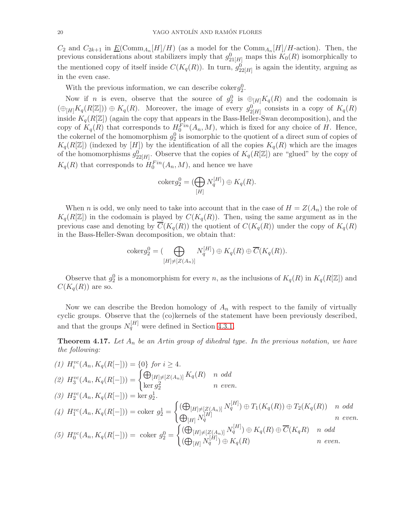$C_2$  and  $C_{2k+1}$  in  $\underline{E}(\text{Comm}_{A_n}[H]/H)$  (as a model for the  $\text{Comm}_{A_n}[H]/H$ -action). Then, the previous considerations about stabilizers imply that  $g_{21[H]}^0$  maps this  $K_0(R)$  isomorphically to the mentioned copy of itself inside  $C(K_q(R))$ . In turn,  $g_{22[H]}^0$  is again the identity, arguing as in the even case.

With the previous information, we can describe coker  $g_2^0$ .

Now if *n* is even, observe that the source of  $g_2^0$  is  $\oplus_{[H]} K_q(R)$  and the codomain is  $(\bigoplus_{[H]} K_q(R[\mathbb{Z}])) \oplus K_q(R)$ . Moreover, the image of every  $g_{2[H]}^0$  consists in a copy of  $K_q(R)$ inside  $K_q(R[\mathbb{Z}])$  (again the copy that appears in the Bass-Heller-Swan decomposition), and the copy of  $K_q(R)$  that corresponds to  $H_0^{Fin}(A_n, M)$ , which is fixed for any choice of H. Hence, the cokernel of the homomorphism  $g_2^0$  is isomorphic to the quotient of a direct sum of copies of  $K_q(R[\mathbb{Z}])$  (indexed by [H]) by the identification of all the copies  $K_q(R)$  which are the images of the homomorphisms  $g_{22[H]}^{\{0\}}$ . Observe that the copies of  $K_q(R[\mathbb{Z}])$  are "glued" by the copy of  $K_q(R)$  that corresponds to  $H_0^{Fin}(A_n, M)$ , and hence we have

$$
\operatorname{coker} g_2^0 = (\bigoplus_{[H]} N_q^{[H]}) \oplus K_q(R).
$$

When n is odd, we only need to take into account that in the case of  $H = Z(A_n)$  the role of  $K_q(R[\mathbb{Z}])$  in the codomain is played by  $C(K_q(R))$ . Then, using the same argument as in the previous case and denoting by  $\overline{C}(K_q(R))$  the quotient of  $C(K_q(R))$  under the copy of  $K_q(R)$ in the Bass-Heller-Swan decomposition, we obtain that:

$$
coker g_2^0 = (\bigoplus_{[H]\neq [Z(A_n)]} N_q^{[H]}) \oplus K_q(R) \oplus \overline{C}(K_q(R)).
$$

Observe that  $g_2^0$  is a monomorphism for every n, as the inclusions of  $K_q(R)$  in  $K_q(R[\mathbb{Z}])$  and  $C(K_q(R))$  are so.

Now we can describe the Bredon homology of  $A_n$  with respect to the family of virtually cyclic groups. Observe that the (co)kernels of the statement have been previously described, and that the groups  $N_q^{[H]}$  were defined in Section [4.3.1.](#page-16-1)

<span id="page-19-0"></span>**Theorem 4.17.** Let  $A_n$  be an Artin group of dihedral type. In the previous notation, we have the following:

$$
(1) H_i^{vc}(A_n, K_q(R[-])) = \{0\} \text{ for } i \ge 4.
$$
\n
$$
(2) H_3^{vc}(A_n, K_q(R[-])) = \begin{cases} \bigoplus_{|H] \neq [Z(A_n)]} K_q(R) & n \text{ odd} \\ \ker g_2^2 & n \text{ even.} \end{cases}
$$
\n
$$
(3) H_2^{vc}(A_n, K_q(R[-])) = \ker g_2^1.
$$
\n
$$
(4) H_1^{vc}(A_n, K_q(R[-])) = \text{coker } g_2^1 = \begin{cases} (\bigoplus_{|H] \neq [Z(A_n)]} N_q^{[H]} \oplus T_1(K_q(R)) \oplus T_2(K_q(R)) & n \text{ odd} \\ \bigoplus_{|H|} N_q^{[H]} \end{cases}
$$
\n
$$
(5) H_0^{vc}(A_n, K_q(R[-])) = \text{coker } g_2^0 = \begin{cases} (\bigoplus_{|H| \neq [Z(A_n)]} N_q^{[H]} \oplus K_q(R) \oplus \overline{C}(K_qR) & n \text{ odd} \\ (\bigoplus_{|H|} N_q^{[H]}) \oplus K_q(R) & n \text{ even.} \end{cases}
$$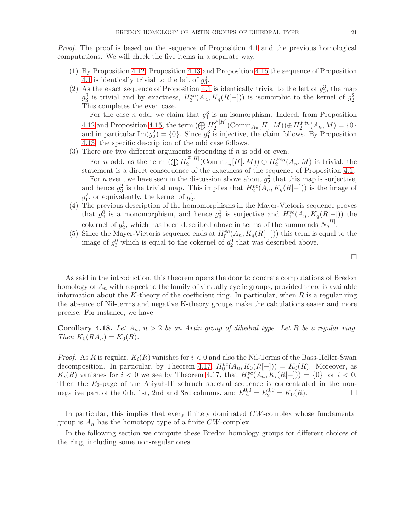Proof. The proof is based on the sequence of Proposition [4.1](#page-7-1) and the previous homological computations. We will check the five items in a separate way.

- (1) By Proposition [4.12,](#page-13-0) Proposition [4.13](#page-13-1) and Proposition [4.15](#page-14-0) the sequence of Proposition [4.1](#page-7-1) is identically trivial to the left of  $g_3^3$ .
- (2) As the exact sequence of Proposition [4.1](#page-7-1) is identically trivial to the left of  $g_3^3$ , the map  $g_3^3$  is trivial and by exactness,  $H_3^{vc}(A_n, K_q(R[-]))$  is isomorphic to the kernel of  $g_2^2$ . This completes the even case.

For the case *n* odd, we claim that  $g_1^3$  is an isomorphism. Indeed, from Proposition [4.12](#page-13-0) and Proposition [4.15,](#page-14-0) the term  $\left(\bigoplus H_2^{\mathcal{F}[H]}\right)$  $L_2^{L[H]}(\text{Comm}_{A_n}[H], M)) \oplus H_2^{Fin}(A_n, M) = \{0\}$ and in particular  $\text{Im}(g_2^2) = \{0\}$ . Since  $g_1^3$  is injective, the claim follows. By Proposition [4.13,](#page-13-1) the specific description of the odd case follows.

(3) There are two different arguments depending if  $n$  is odd or even.

For *n* odd, as the term  $(\bigoplus H_2^{\mathcal{F}[H]}$  $L_2^{[H]}(\text{Comm}_{A_n}[H], M)) \oplus H_2^{Fin}(A_n, M)$  is trivial, the statement is a direct consequence of the exactness of the sequence of Proposition [4.1.](#page-7-1) For *n* even, we have seen in the discussion above about  $g_2^2$  that this map is surjective, and hence  $g_3^2$  is the trivial map. This implies that  $H_2^{vc}(A_n, K_q(R[-]))$  is the image of

- $g_1^2$ , or equivalently, the kernel of  $g_2^1$ . (4) The previous description of the homomorphisms in the Mayer-Vietoris sequence proves that  $g_2^0$  is a monomorphism, and hence  $g_3^1$  is surjective and  $H_1^{vc}(A_n, K_q(R[-]))$  the cokernel of  $g_2^1$ , which has been described above in terms of the summands  $N_q^{[H]}$ .
- (5) Since the Mayer-Vietoris sequence ends at  $H_0^{vc}(A_n, K_q(R[-]))$  this term is equal to the image of  $g_3^0$  which is equal to the cokernel of  $g_2^0$  that was described above.

As said in the introduction, this theorem opens the door to concrete computations of Bredon homology of  $A_n$  with respect to the family of virtually cyclic groups, provided there is available information about the K-theory of the coefficient ring. In particular, when  $R$  is a regular ring the absence of Nil-terms and negative K-theory groups make the calculations easier and more precise. For instance, we have

**Corollary 4.18.** Let  $A_n$ ,  $n > 2$  be an Artin group of dihedral type. Let R be a regular ring. Then  $K_0(RA_n) = K_0(R)$ .

*Proof.* As R is regular,  $K_i(R)$  vanishes for  $i < 0$  and also the Nil-Terms of the Bass-Heller-Swan decomposition. In particular, by Theorem [4.17,](#page-19-0)  $H_0^{vc}(A_n, K_0(R[-])) = K_0(R)$ . Moreover, as  $K_i(R)$  vanishes for  $i < 0$  we see by Theorem [4.17,](#page-19-0) that  $H_j^{vc}(A_n, K_i(R[-])) = \{0\}$  for  $i < 0$ . Then the  $E_2$ -page of the Atiyah-Hirzebruch spectral sequence is concentrated in the nonnegative part of the 0th, 1st, 2nd and 3rd columns, and  $E_{\infty}^{0,0} = E_2^{0,0} = K_0(R)$ .

In particular, this implies that every finitely dominated CW-complex whose fundamental group is  $A_n$  has the homotopy type of a finite  $CW$ -complex.

In the following section we compute these Bredon homology groups for different choices of the ring, including some non-regular ones.

 $\Box$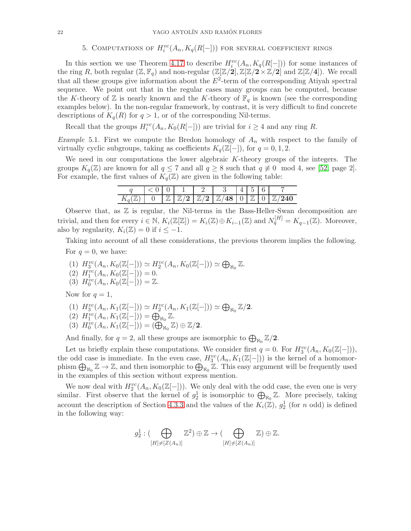# 5. COMPUTATIONS OF  $H_i^{vc}(A_n, K_q(R[-]))$  for several coefficient rings

<span id="page-21-0"></span>In this section we use Theorem [4.17](#page-19-0) to describe  $H_i^{vc}(A_n, K_q(R[-]))$  for some instances of the ring R, both regular  $(\mathbb{Z}, \mathbb{F}_q)$  and non-regular  $(\mathbb{Z}[\mathbb{Z}/2], \mathbb{Z}[\mathbb{Z}/2 \times \mathbb{Z}/2]$  and  $\mathbb{Z}[\mathbb{Z}/4]$ ). We recall that all these groups give information about the  $E^2$ -term of the corresponding Atiyah spectral sequence. We point out that in the regular cases many groups can be computed, because the K-theory of  $\mathbb Z$  is nearly known and the K-theory of  $\mathbb F_q$  is known (see the corresponding examples below). In the non-regular framework, by contrast, it is very difficult to find concrete descriptions of  $K_q(R)$  for  $q > 1$ , or of the corresponding Nil-terms.

Recall that the groups  $H_i^{vc}(A_n, K_0(R[-]))$  are trivial for  $i \geq 4$  and any ring R.

*Example* 5.1. First we compute the Bredon homology of  $A_n$  with respect to the family of virtually cyclic subgroups, taking as coefficients  $K_q(\mathbb{Z}[-])$ , for  $q = 0, 1, 2$ .

We need in our computations the lower algebraic  $K$ -theory groups of the integers. The groups  $K_q(\mathbb{Z})$  are known for all  $q \leq 7$  and all  $q \geq 8$  such that  $q \not\equiv 0 \mod 4$ , see [\[52,](#page-26-7) page 2]. For example, the first values of  $K_q(\mathbb{Z})$  are given in the following table:

|  |  |   |   | - |  |
|--|--|---|---|---|--|
|  |  | ໑ | ◡ |   |  |

Observe that, as  $Z$  is regular, the Nil-terms in the Bass-Heller-Swan decomposition are trivial, and then for every  $i \in \mathbb{N}$ ,  $K_i(\mathbb{Z}[\mathbb{Z}]) = K_i(\mathbb{Z}) \oplus K_{i-1}(\mathbb{Z})$  and  $N_q^{[H]} = K_{q-1}(\mathbb{Z})$ . Moreover, also by regularity,  $K_i(\mathbb{Z}) = 0$  if  $i \leq -1$ .

Taking into account of all these considerations, the previous theorem implies the following. For  $q=0$ , we have:

- (1)  $H_3^{vc}(A_n, K_0(\mathbb{Z}[-])) \simeq H_2^{vc}(A_n, K_0(\mathbb{Z}[-])) \simeq \bigoplus_{\aleph_0} \mathbb{Z}.$ (2)  $H_1^{vc}(A_n, K_0(\mathbb{Z}[-])) = 0.$
- (3)  $H_0^{vc}(A_n, K_0(\mathbb{Z}[-])) = \mathbb{Z}.$

Now for  $q=1$ ,

(1)  $H_3^{vc}(A_n, K_1(\mathbb{Z}[-])) \simeq H_2^{vc}(A_n, K_1(\mathbb{Z}[-])) \simeq \bigoplus_{\aleph_0} \mathbb{Z}/2.$ 

(2) 
$$
H_1^{vc}(A_n, K_1(\mathbb{Z}[-])) = \bigoplus_{\aleph_0} \mathbb{Z}.
$$

(2)  $H_1(A_n, K_1(\mathbb{Z}[-])) - \bigoplus_{\aleph_0} \mathbb{Z}.$ <br>(3)  $H_0^{vc}(A_n, K_1(\mathbb{Z}[-])) = (\bigoplus_{\aleph_0} \mathbb{Z}) \oplus \mathbb{Z}/2.$ 

And finally, for  $q = 2$ , all these groups are isomorphic to  $\bigoplus_{\aleph_0} \mathbb{Z}/2$ .

Let us briefly explain these computations. We consider first  $q = 0$ . For  $H_3^{vc}(A_n, K_0(\mathbb{Z}[-]))$ , the odd case is immediate. In the even case,  $H_3^{vc}(A_n, K_1(\mathbb{Z}[-]))$  is the kernel of a homomorphism  $\bigoplus_{\aleph_0} \mathbb{Z} \to \mathbb{Z}$ , and then isomorphic to  $\bigoplus_{\aleph_0} \mathbb{Z}$ . This easy argument will be frequently used in the examples of this section without express mention.

We now deal with  $H_2^{vc}(A_n, K_0(\mathbb{Z}[-]))$ . We only deal with the odd case, the even one is very similar. First observe that the kernel of  $g_2^1$  is isomorphic to  $\bigoplus_{\aleph_0}\mathbb{Z}$ . More precisely, taking account the description of Section [4.3.3](#page-16-0) and the values of the  $K_i(\mathbb{Z})$ ,  $g_2^1$  (for n odd) is defined in the following way:

$$
g_2^1: (\bigoplus_{[H]\neq [Z(A_n)]} \mathbb{Z}^2) \oplus \mathbb{Z} \to (\bigoplus_{[H]\neq [Z(A_n)]} \mathbb{Z}) \oplus \mathbb{Z}.
$$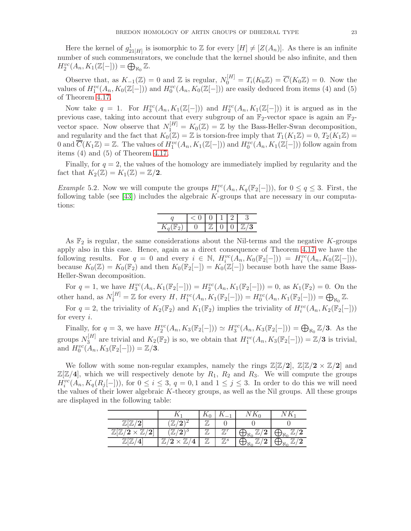Here the kernel of  $g_{21[H]}^1$  is isomorphic to Z for every  $[H] \neq [Z(A_n)]$ . As there is an infinite number of such commensurators, we conclude that the kernel should be also infinite, and then  $H_2^{vc}(A_n, K_1(\mathbb{Z}[-])) = \bigoplus_{\aleph_0} \mathbb{Z}.$ 

Observe that, as  $K_{-1}(\mathbb{Z}) = 0$  and  $\mathbb{Z}$  is regular,  $N_0^{[H]} = T_i(K_0 \mathbb{Z}) = \overline{C}(K_0 \mathbb{Z}) = 0$ . Now the values of  $H_1^{vc}(A_n, K_0(\mathbb{Z}[-]))$  and  $H_0^{vc}(A_n, K_0(\mathbb{Z}[-]))$  are easily deduced from items (4) and (5) of Theorem [4.17.](#page-19-0)

Now take  $q = 1$ . For  $H_3^{vc}(A_n, K_1(\mathbb{Z}[-]))$  and  $H_2^{vc}(A_n, K_1(\mathbb{Z}[-]))$  it is argued as in the previous case, taking into account that every subgroup of an  $\mathbb{F}_2$ -vector space is again an  $\mathbb{F}_2$ vector space. Now observe that  $N_1^{[H]} = K_0(\mathbb{Z}) = \mathbb{Z}$  by the Bass-Heller-Swan decomposition, and regularity and the fact that  $K_0(\mathbb{Z}) = \mathbb{Z}$  is torsion-free imply that  $T_1(K_1\mathbb{Z}) = 0$ ,  $T_2(K_1\mathbb{Z}) = 0$ 0 and  $\overline{C}(K_1\mathbb{Z})=\mathbb{Z}$ . The values of  $H_1^{vc}(A_n, K_1(\mathbb{Z}[-]))$  and  $H_0^{vc}(A_n, K_1(\mathbb{Z}[-]))$  follow again from items (4) and (5) of Theorem [4.17.](#page-19-0)

Finally, for  $q = 2$ , the values of the homology are immediately implied by regularity and the fact that  $K_2(\mathbb{Z}) = K_1(\mathbb{Z}) = \mathbb{Z}/2$ .

*Example* 5.2. Now we will compute the groups  $H_i^{vc}(A_n, K_q(\mathbb{F}_2[-]))$ , for  $0 \le q \le 3$ . First, the following table (see  $[43]$ ) includes the algebraic K-groups that are necessary in our computations:

|  | $\mathbb{Z}$ | $\Box$ | $0 \mid \mathbb{Z}/3$ |
|--|--------------|--------|-----------------------|

As  $\mathbb{F}_2$  is regular, the same considerations about the Nil-terms and the negative K-groups apply also in this case. Hence, again as a direct consequence of Theorem [4.17](#page-19-0) we have the following results. For  $q = 0$  and every  $i \in \mathbb{N}$ ,  $H_i^{vc}(A_n, K_0(\mathbb{F}_2[-])) = H_i^{vc}(A_n, K_0(\mathbb{Z}[-]))$ , because  $K_0(\mathbb{Z}) = K_0(\mathbb{F}_2)$  and then  $K_0(\mathbb{F}_2[-]) = K_0(\mathbb{Z}[-])$  because both have the same Bass-Heller-Swan decomposition.

For  $q = 1$ , we have  $H_3^{vc}(A_n, K_1(\mathbb{F}_2[-])) = H_2^{vc}(A_n, K_1(\mathbb{F}_2[-])) = 0$ , as  $K_1(\mathbb{F}_2) = 0$ . On the other hand, as  $N_1^{[H]} = \mathbb{Z}$  for every H,  $H_1^{vc}(A_n, K_1(\mathbb{F}_2[-])) = H_0^{vc}(A_n, K_1(\mathbb{F}_2[-])) = \bigoplus_{\aleph_0} \mathbb{Z}$ .

For  $q = 2$ , the triviality of  $K_2(\mathbb{F}_2)$  and  $K_1(\mathbb{F}_2)$  implies the triviality of  $H_i^{vc}(A_n, K_2(\mathbb{F}_2[-]))$ for every  $i$ .

Finally, for  $q = 3$ , we have  $H_2^{vc}(A_n, K_3(\mathbb{F}_2[-])) \simeq H_3^{vc}(A_n, K_3(\mathbb{F}_2[-])) = \bigoplus_{\aleph_0} \mathbb{Z}/3$ . As the groups  $N_3^{[H]}$  $S_3^{[H]}$  are trivial and  $K_2(\mathbb{F}_2)$  is so, we obtain that  $H_1^{vc}(A_n, K_3(\mathbb{F}_2[-])) = \mathbb{Z}/3$  is trivial, and  $H_0^{vc}(A_n, K_3(\mathbb{F}_2[-])) = \mathbb{Z}/3.$ 

We follow with some non-regular examples, namely the rings  $\mathbb{Z}[Z/2], \mathbb{Z}[Z/2 \times \mathbb{Z}/2]$  and  $\mathbb{Z}[\mathbb{Z}/4]$ , which we will respectively denote by  $R_1$ ,  $R_2$  and  $R_3$ . We will compute the groups  $H_i^{vc}(A_n, K_q(R_j[-]))$ , for  $0 \le i \le 3$ ,  $q = 0, 1$  and  $1 \le j \le 3$ . In order to do this we will need the values of their lower algebraic K-theory groups, as well as the Nil groups. All these groups are displayed in the following table:

|              |        | 1 Y ()          |                | $\Delta \Lambda$ | К  |
|--------------|--------|-----------------|----------------|------------------|----|
| ഩ            |        |                 |                |                  |    |
| 77<br>ິ<br>◢ |        |                 |                |                  |    |
|              | $\tau$ | $\overline{77}$ | $\mathbb{Z}^s$ |                  | ົາ |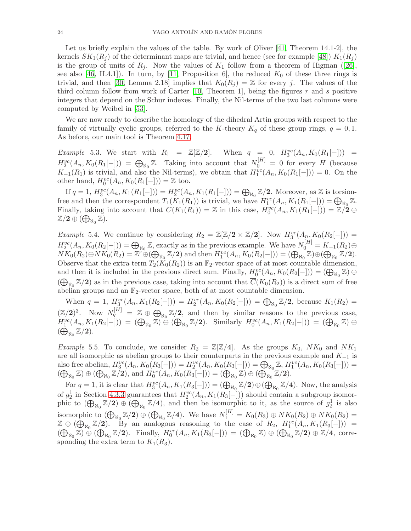Let us briefly explain the values of the table. By work of Oliver [\[41,](#page-26-14) Theorem 14.1-2], the kernels  $SK_1(R_i)$  of the determinant maps are trivial, and hence (see for example [\[48\]](#page-26-15))  $K_1(R_i)$ is the group of units of  $R_j$ . Now the values of  $K_1$  follow from a theorem of Higman ([\[26\]](#page-25-24), see also [\[46,](#page-26-16) II.4.1]). In turn, by [\[11,](#page-25-25) Proposition 6], the reduced  $K_0$  of these three rings is trivial, and then [\[30,](#page-25-11) Lemma 2.18] implies that  $K_0(R_i) = \mathbb{Z}$  for every j. The values of the third column follow from work of Carter  $[10,$  Theorem 1, being the figures r and s positive integers that depend on the Schur indexes. Finally, the Nil-terms of the two last columns were computed by Weibel in [\[53\]](#page-26-17).

We are now ready to describe the homology of the dihedral Artin groups with respect to the family of virtually cyclic groups, referred to the K-theory  $K_q$  of these group rings,  $q = 0, 1$ . As before, our main tool is Theorem [4.17.](#page-19-0)

Example 5.3. We start with  $R_1 = \mathbb{Z}[\mathbb{Z}/2].$  $S_3^{vc}(A_n, K_0(R_1[-])) =$  $H_2^{vc}(A_n, K_0(R_1[-])) = \bigoplus_{\aleph_0} \mathbb{Z}$ . Taking into account that  $N_0^{[H]} = 0$  for every H (because  $K_{-1}(R_1)$  is trivial, and also the Nil-terms), we obtain that  $H_1^{vc}(A_n, K_0(R_1[-])) = 0$ . On the other hand,  $H_0^{vc}(A_n, K_0(R_1[-])) = \mathbb{Z}$  too.

If  $q = 1$ ,  $H_3^{vc}(A_n, K_1(R_1[-])) = H_2^{vc}(A_n, K_1(R_1[-])) = \bigoplus_{\aleph_0} \mathbb{Z}/2$ . Moreover, as  $\mathbb{Z}$  is torsionfree and then the correspondent  $T_1(K_1(R_1))$  is trivial, we have  $H_1^{vc}(A_n, K_1(R_1[-])) = \bigoplus_{\aleph_0} \mathbb{Z}$ . Finally, taking into account that  $C(K_1(R_1)) = \mathbb{Z}$  in this case,  $H_0^{vc}(A_n, K_1(R_1[-])) = \mathbb{Z}/2 \oplus \mathbb{Z}$  $\mathbb{Z}/2 \oplus (\bigoplus_{\aleph_0} \mathbb{Z}).$ 

*Example* 5.4. We continue by considering  $R_2 = \mathbb{Z}[\mathbb{Z}/2 \times \mathbb{Z}/2]$ . Now  $H_3^{vc}(A_n, K_0(R_2[-])) =$  $H_2^{vc}(A_n, K_0(R_2[-])) = \bigoplus_{N_0} \mathbb{Z}$ , exactly as in the previous example. We have  $N_0^{[H]} = K_{-1}(R_2) \oplus$  $NK_0(R_2) \oplus NK_0(R_2) = \mathbb{Z}^r \oplus (\bigoplus_{\aleph_0} \mathbb{Z}/2)$  and then  $H_1^{vc}(A_n, K_0(R_2[-])) = (\bigoplus_{\aleph_0} \mathbb{Z}) \oplus (\bigoplus_{\aleph_0} \mathbb{Z}/2).$ Observe that the extra term  $T_2(K_0(R_2))$  is an  $\mathbb{F}_2$ -vector space of at most countable dimension, and then it is included in the previous direct sum. Finally,  $H_0^{vc}(A_n, K_0(R_2[-])) = (\bigoplus_{\aleph_0} \mathbb{Z}) \oplus$  $(\bigoplus_{\aleph_0} \mathbb{Z}/2)$  as in the previous case, taking into account that  $\overline{C}(K_0(R_2))$  is a direct sum of free abelian groups and an  $\mathbb{F}_2$ -vector space, both of at most countable dimension.

When  $q = 1$ ,  $H_3^{vc}(A_n, K_1(R_2[-])) = H_2^{vc}(A_n, K_0(R_2[-])) = \bigoplus_{\aleph_0} \mathbb{Z}/2$ , because  $K_1(R_2) =$  $(\mathbb{Z}/2)^3$ . Now  $N_q^{[H]} = \mathbb{Z} \oplus \bigoplus_{\aleph_0} \mathbb{Z}/2$ , and then by similar reasons to the previous case,  $H_1^{vc}(A_n, K_1(R_2[-])) = (\bigoplus_{\aleph_0} \mathbb{Z}) \oplus (\bigoplus_{\aleph_0} \mathbb{Z}/2)$ . Similarly  $H_0^{vc}(A_n, K_1(R_2[-])) = (\bigoplus_{\aleph_0} \mathbb{Z}) \oplus$  $(\bigoplus_{\aleph_0} \mathbb{Z}/2).$ 

*Example* 5.5. To conclude, we consider  $R_2 = \mathbb{Z}[\mathbb{Z}/4]$ . As the groups  $K_0$ ,  $NK_0$  and  $NK_1$ are all isomorphic as abelian groups to their counterparts in the previous example and  $K_{-1}$  is also free abelian,  $H_3^{vc}(A_n, K_0(R_3[-])) = H_2^{vc}(A_n, K_0(R_3[-])) = \bigoplus_{\aleph_0} \mathbb{Z}, H_1^{vc}(A_n, K_0(R_3[-])) =$  $(\bigoplus_{\aleph_0}\mathbb{Z})\oplus(\bigoplus_{\aleph_0}\mathbb{Z}/2)$ , and  $H_0^{vc}(A_n,K_0(R_3[-]))=(\bigoplus_{\aleph_0}\mathbb{Z})\oplus(\bigoplus_{\aleph_0}\mathbb{Z}/2)$ .

For  $q = 1$ , it is clear that  $H_3^{vc}(A_n, K_1(R_3[-])) = (\bigoplus_{\aleph_0} \mathbb{Z}/2) \oplus (\bigoplus_{\aleph_0} \mathbb{Z}/4)$ . Now, the analysis of  $g_2^1$  in Section [4.3.3](#page-16-0) guarantees that  $H_2^{vc}(A_n, K_1(R_3[-]))$  should contain a subgroup isomorphic to  $(\bigoplus_{\aleph_0} \mathbb{Z}/2) \oplus (\bigoplus_{\aleph_0} \mathbb{Z}/4)$ , and then be isomorphic to it, as the source of  $g_2^1$  is also isomorphic to  $(\bigoplus_{\aleph_0} \mathbb{Z}/2) \oplus (\bigoplus_{\aleph_0} \mathbb{Z}/4)$ . We have  $N_1^{[H]} = K_0(R_3) \oplus NK_0(R_2) \oplus NK_0(R_2) =$  $\mathbb{Z} \oplus (\bigoplus_{N_0} \mathbb{Z}/2)$ . By an analogous reasoning to the case of  $R_2$ ,  $H_1^{vc}(A_n, K_1(R_3[-])) =$  $(\bigoplus_{\aleph_0}\mathbb{Z}) \oplus \left(\bigoplus_{\aleph_0}\mathbb{Z}/2\right)$ . Finally,  $H_0^{vc}(A_n, K_1(R_3[-])) = (\bigoplus_{\aleph_0}\mathbb{Z}) \oplus \left(\bigoplus_{\aleph_0}\mathbb{Z}/2\right) \oplus \mathbb{Z}/4$ , corresponding the extra term to  $K_1(R_3)$ .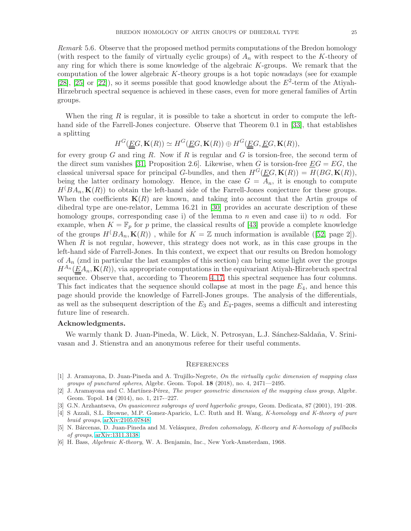Remark 5.6. Observe that the proposed method permits computations of the Bredon homology (with respect to the family of virtually cyclic groups) of  $A_n$  with respect to the K-theory of any ring for which there is some knowledge of the algebraic K-groups. We remark that the computation of the lower algebraic K-theory groups is a hot topic nowadays (see for example [\[28\]](#page-25-27), [\[25\]](#page-25-28) or [\[22\]](#page-25-29)), so it seems possible that good knowledge about the  $E^2$ -term of the Atiyah-Hirzebruch spectral sequence is achieved in these cases, even for more general families of Artin groups.

When the ring R is regular, it is possible to take a shortcut in order to compute the lefthand side of the Farrell-Jones conjecture. Observe that Theorem 0.1 in [\[33\]](#page-25-12), that establishes a splitting

$$
H^G(\underline{\underline{E}}G, \mathbf{K}(R)) \simeq H^G(\underline{E}G, \mathbf{K}(R)) \oplus H^G(\underline{\underline{E}}G, \underline{E}G, \mathbf{K}(R)),
$$

for every group G and ring R. Now if R is regular and G is torsion-free, the second term of the direct sum vanishes [\[31,](#page-25-6) Proposition 2.6]. Likewise, when G is torsion-free  $EG = EG$ , the classical universal space for principal G-bundles, and then  $H^G(\underline{EG}, \mathbf{K}(R)) = H(BG, \mathbf{K}(R)),$ being the latter ordinary homology. Hence, in the case  $G = A_n$ , it is enough to compute  $H(BA_n, \mathbf{K}(R))$  to obtain the left-hand side of the Farrell-Jones conjecture for these groups. When the coefficients  $K(R)$  are known, and taking into account that the Artin groups of dihedral type are one-relator, Lemma 16.21 in [\[30\]](#page-25-11) provides an accurate description of these homology groups, corresponding case i) of the lemma to n even and case ii) to n odd. For example, when  $K = \mathbb{F}_p$  for p prime, the classical results of [\[43\]](#page-26-13) provide a complete knowledge of the groups  $H(BA_n, \mathbf{K}(R))$ , while for  $K = \mathbb{Z}$  much information is available ([\[52,](#page-26-7) page 2]). When  $R$  is not regular, however, this strategy does not work, as in this case groups in the left-hand side of Farrell-Jones. In this context, we expect that our results on Bredon homology of  $A_n$  (znd in particular the last examples of this section) can bring some light over the groups  $H^{A_n}(\underline{EA}_n, \mathbf{K}(R))$ , via appropriate computations in the equivariant Atiyah-Hirzebruch spectral sequence. Observe that, according to Theorem [4.17,](#page-19-0) this spectral sequence has four columns. This fact indicates that the sequence should collapse at most in the page  $E_4$ , and hence this page should provide the knowledge of Farrell-Jones groups. The analysis of the differentials, as well as the subsequent description of the  $E_3$  and  $E_4$ -pages, seems a difficult and interesting future line of research.

# Acknowledgments.

We warmly thank D. Juan-Pineda, W. Lück, N. Petrosyan, L.J. Sánchez-Saldaña, V. Srinivasan and J. Stienstra and an anonymous referee for their useful comments.

### **REFERENCES**

- <span id="page-24-1"></span>[1] J. Aramayona, D. Juan-Pineda and A. Trujillo-Negrete, On the virtually cyclic dimension of mapping class groups of punctured spheres, Algebr. Geom. Topol. 18 (2018), no. 4, 2471—2495.
- <span id="page-24-2"></span>[2] J. Aramayona and C. Martínez-Pérez, The proper geometric dimension of the mapping class group, Algebr. Geom. Topol. 14 (2014), no. 1, 217-–227.
- <span id="page-24-4"></span><span id="page-24-0"></span>[3] G.N. Arzhantseva, On quasiconvex subgroups of word hyperbolic groups, Geom. Dedicata, 87 (2001), 191–208.
- [4] S Azzali, S.L. Browne, M.P. Gomez-Aparicio, L.C. Ruth and H. Wang, K-homology and K-theory of pure braid groups, [arXiv:2105.07848](http://arxiv.org/abs/2105.07848)
- <span id="page-24-3"></span>[5] N. Bárcenas, D. Juan-Pineda and M. Velásquez, Bredon cohomology, K-theory and K-homology of pullbacks of groups, [arXiv:1311.3138.](http://arxiv.org/abs/1311.3138)
- <span id="page-24-5"></span>[6] H. Bass, Algebraic K-theory, W. A. Benjamin, Inc., New York-Amsterdam, 1968.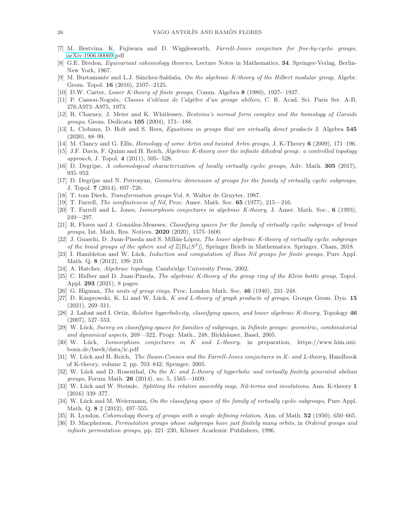- <span id="page-25-13"></span>[7] M. Bestvina. K. Fujiwara and D. Wigglesworth, Farrell-Jones conjecture for free-by-cyclic groups, [arXiv:1906.00069.](http://arxiv.org/abs/1906.00069)pdf
- <span id="page-25-7"></span><span id="page-25-2"></span>[8] G.E. Bredon, *Equivariant cohomology theories*, Lecture Notes in Mathematics, 34. Springer-Verlag, Berlin-New York, 1967.
- [9] M. Bustamante and L.J. Sánchez-Saldaña, On the algebraic K-theory of the Hilbert modular group, Algebr. Geom. Topol. 16 (2016), 2107-–2125.
- <span id="page-25-26"></span><span id="page-25-25"></span>[10] D.W. Carter, Lower K-theory of finite groups, Comm. Algebra 8 (1980), 1927-–1937.
- <span id="page-25-18"></span>[11] P. Cassou-Noguès, Classes d'idéaux de l'algèbre d'un groupe abélien, C. R. Acad. Sci. Paris Ser. A-B, 276:A973–A975, 1973.
- <span id="page-25-1"></span>[12] R. Charney, J. Meier and K. Whitlessey, Bestvina's normal form complex and the homology of Garside groups, Geom. Dedicata 105 (2004), 171-–188.
- <span id="page-25-19"></span>[13] L. Ciobanu, D. Holt and S. Rees, Equations in groups that are virtually direct products J. Algebra 545 (2020), 88–99.
- <span id="page-25-8"></span>[14] M. Clancy and G. Ellis, *Homology of some Artin and twisted Artin groups*, J. K-Theory 6 (2009), 171–196.
- [15] J.F. Davis, F. Quinn and H. Reich, Algebraic K-theory over the infinite dihedral group: a controlled topology approach, J. Topol. 4 (2011), 505-–528.
- <span id="page-25-20"></span><span id="page-25-3"></span>[16] D. Degrijse, A cohomological characterization of locally virtually cyclic groups, Adv. Math. 305 (2017), 935–952.
- [17] D. Degrijse and N. Petrosyan, Geometric dimension of groups for the family of virtually cyclic subgroups, J. Topol. 7 (2014), 697–726.
- <span id="page-25-22"></span><span id="page-25-14"></span>[18] T. tom Dieck, Transformation groups Vol. 8. Walter de Gruyter, 1987.
- <span id="page-25-5"></span>[19] T. Farrell, The nonfiniteness of Nil, Proc. Amer. Math. Soc. 65 (1977), 215—216.
- <span id="page-25-0"></span>[20] T. Farrell and L. Jones, Isomorphism conjectures in algebraic K-theory, J. Amer. Math. Soc., 6 (1993), 249—297.
- [21] R. Flores and J. González-Meneses, *Classifying spaces for the family of virtually cyclic subgroups of braid* groups, Int. Math. Res. Notices. 2020 (2020), 1575–1600.
- <span id="page-25-29"></span>[22] J. Guaschi, D. Juan-Pineda and S. Millán-López, The lower algebraic K-theory of virtually cyclic subgroups of the braid groups of the sphere and of  $\mathbb{Z}[B_4(S^2)]$ , Springer Briefs in Mathematics. Springer, Cham, 2018.
- <span id="page-25-21"></span>[23] I. Hambleton and W. Lück, *Induction and computation of Bass Nil groups for finite groups*, Pure Appl. Math. Q. 8 (2012), 199–219.
- <span id="page-25-28"></span><span id="page-25-23"></span>[24] A. Hatcher, *Algebraic topology*, Cambridge University Press, 2002.
- [25] C. Hidber and D. Juan-Pineda, The algebraic K-theory of the group ring of the Klein bottle group, Topol. Appl. 293 (2021), 8 pages.
- <span id="page-25-24"></span><span id="page-25-9"></span>[26] G. Higman, The units of group rings, Proc. London Math. Soc. 46 (1940), 231–248.
- [27] D. Kasprowski, K. Li and W. Lück, K and L-theory of graph products of groups, Groups Geom. Dyn. 15 (2021), 269–311.
- <span id="page-25-27"></span>[28] J. Lafont and I. Ortiz, Relative hyperbolicity, classifying spaces, and lower algebraic K-theory, Topology 46 (2007), 527–553.
- <span id="page-25-15"></span>[29] W. Lück, Survey on classifying spaces for families of subgroups, in Infinite groups: geometric, combinatorial and dynamical aspects, 269—322, Progr. Math., 248, Birkhäuser, Basel, 2005.
- <span id="page-25-11"></span>[30] W. Lück, Isomorphism conjectures in K and L-theory, in preparation, https://www.him.unibonn.de/lueck/data/ic.pdf
- <span id="page-25-6"></span>[31] W. Lück and H. Reich, The Baum-Connes and the Farrell-Jones conjectures in K- and L-theory, Handbook of K-theory, volume 2, pp. 703–842, Springer, 2005.
- <span id="page-25-10"></span>[32] W. Lück and D. Rosenthal, On the K- and L-theory of hyperbolic and virtually finitely generated abelian groups, Forum Math. 26 (2014), no. 5, 1565—1609.
- <span id="page-25-12"></span>[33] W. Lück and W. Steimle, Splitting the relative assembly map, Nil-terms and involutions, Ann. K-theory 1 (2016) 339–377.
- <span id="page-25-4"></span>[34] W. Lück and M. Weiermann, On the classifying space of the family of virtually cyclic subgroups, Pure Appl. Math. Q. 8 2 (2012), 497–555.
- <span id="page-25-17"></span><span id="page-25-16"></span>[35] R. Lyndon, Cohomology theory of groups with a single defining relation, Ann. of Math. **52** (1950), 650–665.
- [36] D. Macpherson, Permutation groups whose subgroups have just finitely many orbits, in Ordered groups and infinite permutation groups, pp. 221–230, Kluwer Academic Publishers, 1996.